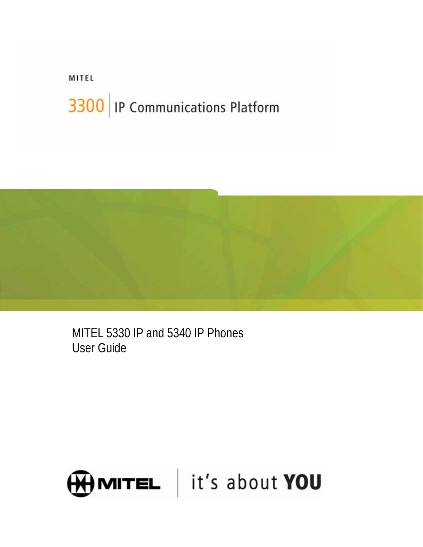# MITEL 3300 | IP Communications Platform



MITEL 5330 IP and 5340 IP Phones User Guide

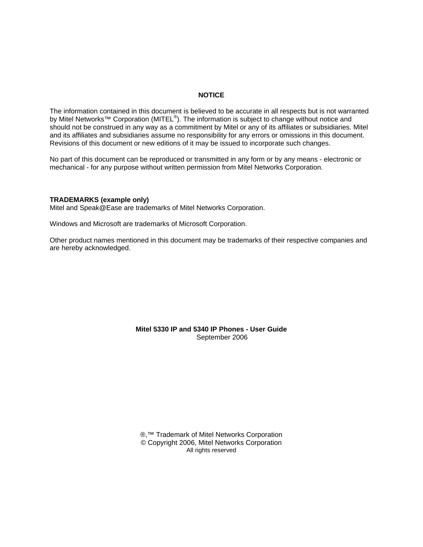#### **NOTICE**

The information contained in this document is believed to be accurate in all respects but is not warranted by Mitel Networks<sup>™</sup> Corporation (MITEL<sup>®</sup>). The information is subject to change without notice and should not be construed in any way as a commitment by Mitel or any of its affiliates or subsidiaries. Mitel and its affiliates and subsidiaries assume no responsibility for any errors or omissions in this document. Revisions of this document or new editions of it may be issued to incorporate such changes.

No part of this document can be reproduced or transmitted in any form or by any means - electronic or mechanical - for any purpose without written permission from Mitel Networks Corporation.

#### **TRADEMARKS (example only)**

Mitel and Speak@Ease are trademarks of Mitel Networks Corporation.

Windows and Microsoft are trademarks of Microsoft Corporation.

Other product names mentioned in this document may be trademarks of their respective companies and are hereby acknowledged.

#### **Mitel 5330 IP and 5340 IP Phones - User Guide** September 2006

®,<sup>™</sup> Trademark of Mitel Networks Corporation © Copyright 2006, Mitel Networks Corporation All rights reserved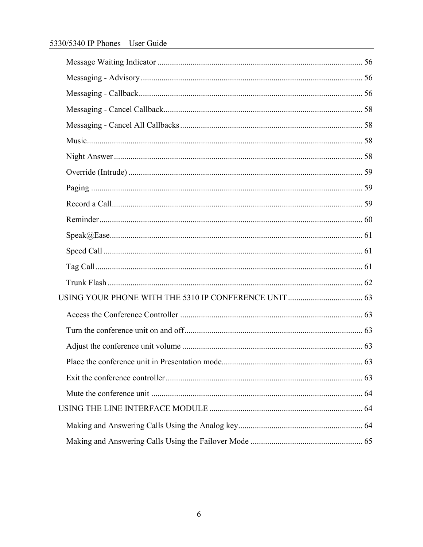# 5330/5340 IP Phones - User Guide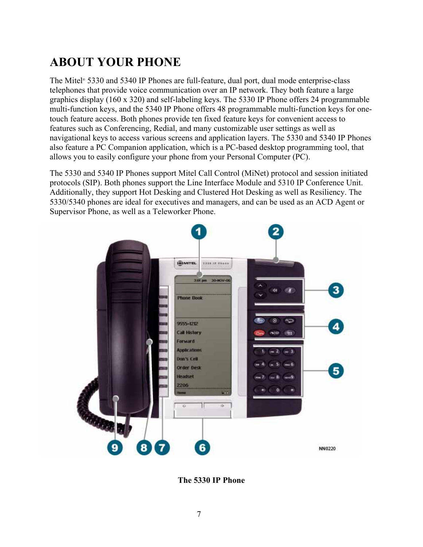# <span id="page-6-0"></span>**ABOUT YOUR PHONE**

The Mitel® 5330 and 5340 IP Phones are full-feature, dual port, dual mode enterprise-class telephones that provide voice communication over an IP network. They both feature a large graphics display (160 x 320) and self-labeling keys. The 5330 IP Phone offers 24 programmable multi-function keys, and the 5340 IP Phone offers 48 programmable multi-function keys for onetouch feature access. Both phones provide ten fixed feature keys for convenient access to features such as Conferencing, Redial, and many customizable user settings as well as navigational keys to access various screens and application layers. The 5330 and 5340 IP Phones also feature a PC Companion application, which is a PC-based desktop programming tool, that allows you to easily configure your phone from your Personal Computer (PC).

The 5330 and 5340 IP Phones support Mitel Call Control (MiNet) protocol and session initiated protocols (SIP). Both phones support the Line Interface Module and 5310 IP Conference Unit. Additionally, they support Hot Desking and Clustered Hot Desking as well as Resiliency. The 5330/5340 phones are ideal for executives and managers, and can be used as an ACD Agent or Supervisor Phone, as well as a Teleworker Phone.



**The 5330 IP Phone**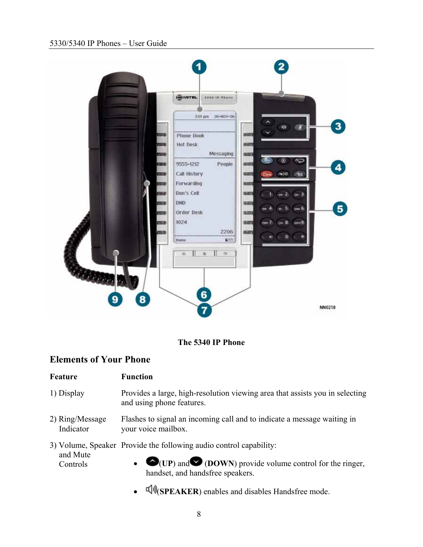#### <span id="page-7-0"></span>5330/5340 IP Phones – User Guide



#### **The 5340 IP Phone**

#### **Elements of Your Phone**

#### **Feature Function**

- 1) Display Provides a large, high-resolution viewing area that assists you in selecting and using phone features.
- 2) Ring/Message Indicator Flashes to signal an incoming call and to indicate a message waiting in your voice mailbox.

3) Volume, Speaker Provide the following audio control capability: and Mute Controls

- $\bullet$  (**UP**) and  $\bullet$  (**DOWN**) provide volume control for the ringer, handset, and handsfree speakers.
- $\text{QW}(SPEAKER)$  enables and disables Handsfree mode.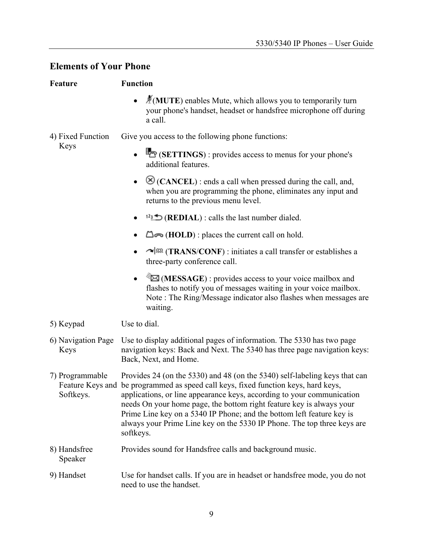# **Elements of Your Phone**

| <b>Feature</b>               | <b>Function</b>                                                                                                                                                                                                                                                                                                                                                                                                                                                                     |  |
|------------------------------|-------------------------------------------------------------------------------------------------------------------------------------------------------------------------------------------------------------------------------------------------------------------------------------------------------------------------------------------------------------------------------------------------------------------------------------------------------------------------------------|--|
|                              | $\AA$ (MUTE) enables Mute, which allows you to temporarily turn<br>your phone's handset, headset or handsfree microphone off during<br>a call.                                                                                                                                                                                                                                                                                                                                      |  |
| 4) Fixed Function            | Give you access to the following phone functions:                                                                                                                                                                                                                                                                                                                                                                                                                                   |  |
| Keys                         | $\bullet$ $\bullet$ (SETTINGS) : provides access to menus for your phone's<br>additional features.                                                                                                                                                                                                                                                                                                                                                                                  |  |
|                              | $\otimes$ (CANCEL) : ends a call when pressed during the call, and,<br>when you are programming the phone, eliminates any input and<br>returns to the previous menu level.                                                                                                                                                                                                                                                                                                          |  |
|                              | $12 \pm 12$ (REDIAL): calls the last number dialed.                                                                                                                                                                                                                                                                                                                                                                                                                                 |  |
|                              | $\Box \rightarrow \Box$ (HOLD) : places the current call on hold.                                                                                                                                                                                                                                                                                                                                                                                                                   |  |
|                              | $\sim$ $\sqrt{\text{s} \Omega}$ (TRANS/CONF): initiates a call transfer or establishes a<br>three-party conference call.                                                                                                                                                                                                                                                                                                                                                            |  |
|                              | (MESSAGE): provides access to your voice mailbox and<br>$\bullet$<br>flashes to notify you of messages waiting in your voice mailbox.<br>Note: The Ring/Message indicator also flashes when messages are<br>waiting.                                                                                                                                                                                                                                                                |  |
| 5) Keypad                    | Use to dial.                                                                                                                                                                                                                                                                                                                                                                                                                                                                        |  |
| 6) Navigation Page<br>Keys   | Use to display additional pages of information. The 5330 has two page<br>navigation keys: Back and Next. The 5340 has three page navigation keys:<br>Back, Next, and Home.                                                                                                                                                                                                                                                                                                          |  |
| 7) Programmable<br>Softkeys. | Provides 24 (on the 5330) and 48 (on the 5340) self-labeling keys that can<br>Feature Keys and be programmed as speed call keys, fixed function keys, hard keys,<br>applications, or line appearance keys, according to your communication<br>needs On your home page, the bottom right feature key is always your<br>Prime Line key on a 5340 IP Phone; and the bottom left feature key is<br>always your Prime Line key on the 5330 IP Phone. The top three keys are<br>softkeys. |  |
| 8) Handsfree<br>Speaker      | Provides sound for Handsfree calls and background music.                                                                                                                                                                                                                                                                                                                                                                                                                            |  |
| 9) Handset                   | Use for handset calls. If you are in headset or handsfree mode, you do not<br>need to use the handset.                                                                                                                                                                                                                                                                                                                                                                              |  |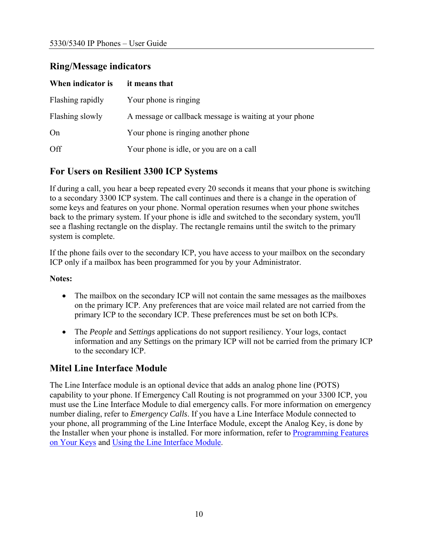#### <span id="page-9-0"></span>**Ring/Message indicators**

| When indicator is | it means that                                          |
|-------------------|--------------------------------------------------------|
| Flashing rapidly  | Your phone is ringing                                  |
| Flashing slowly   | A message or callback message is waiting at your phone |
| On                | Your phone is ringing another phone                    |
| Off               | Your phone is idle, or you are on a call               |

### **For Users on Resilient 3300 ICP Systems**

If during a call, you hear a beep repeated every 20 seconds it means that your phone is switching to a secondary 3300 ICP system. The call continues and there is a change in the operation of some keys and features on your phone. Normal operation resumes when your phone switches back to the primary system. If your phone is idle and switched to the secondary system, you'll see a flashing rectangle on the display. The rectangle remains until the switch to the primary system is complete.

If the phone fails over to the secondary ICP, you have access to your mailbox on the secondary ICP only if a mailbox has been programmed for you by your Administrator.

#### **Notes:**

- The mailbox on the secondary ICP will not contain the same messages as the mailboxes on the primary ICP. Any preferences that are voice mail related are not carried from the primary ICP to the secondary ICP. These preferences must be set on both ICPs.
- The *People* and *Settings* applications do not support resiliency. Your logs, contact information and any Settings on the primary ICP will not be carried from the primary ICP to the secondary ICP.

# **Mitel Line Interface Module**

The Line Interface module is an optional device that adds an analog phone line (POTS) capability to your phone. If Emergency Call Routing is not programmed on your 3300 ICP, you must use the Line Interface Module to dial emergency calls. For more information on emergency number dialing, refer to *Emergency Calls*. If you have a Line Interface Module connected to your phone, all programming of the Line Interface Module, except the Analog Key, is done by the Installer when your phone is installed. For more information, refer to **Programming Features** [on Your Keys](#page-26-0) and [Using the Line Interface Module.](#page-35-0)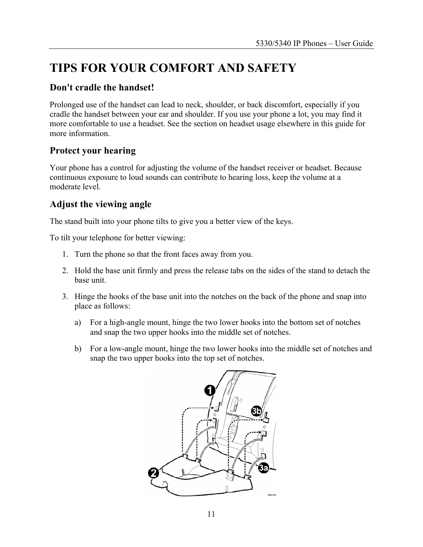# <span id="page-10-0"></span>**TIPS FOR YOUR COMFORT AND SAFETY**

#### **Don't cradle the handset!**

Prolonged use of the handset can lead to neck, shoulder, or back discomfort, especially if you cradle the handset between your ear and shoulder. If you use your phone a lot, you may find it more comfortable to use a headset. See the section on headset usage elsewhere in this guide for more information.

### **Protect your hearing**

Your phone has a control for adjusting the volume of the handset receiver or headset. Because continuous exposure to loud sounds can contribute to hearing loss, keep the volume at a moderate level.

### **Adjust the viewing angle**

The stand built into your phone tilts to give you a better view of the keys.

To tilt your telephone for better viewing:

- 1. Turn the phone so that the front faces away from you.
- 2. Hold the base unit firmly and press the release tabs on the sides of the stand to detach the base unit.
- 3. Hinge the hooks of the base unit into the notches on the back of the phone and snap into place as follows:
	- a) For a high-angle mount, hinge the two lower hooks into the bottom set of notches and snap the two upper hooks into the middle set of notches.
	- b) For a low-angle mount, hinge the two lower hooks into the middle set of notches and snap the two upper hooks into the top set of notches.

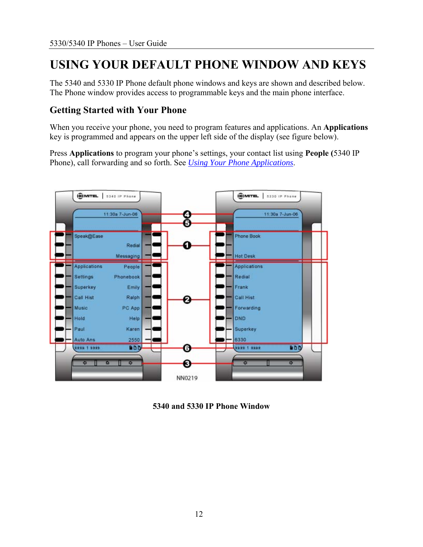# <span id="page-11-0"></span>**USING YOUR DEFAULT PHONE WINDOW AND KEYS**

The 5340 and 5330 IP Phone default phone windows and keys are shown and described below. The Phone window provides access to programmable keys and the main phone interface.

#### **Getting Started with Your Phone**

When you receive your phone, you need to program features and applications. An **Applications** key is programmed and appears on the upper left side of the display (see figure below).

Press **Applications** to program your phone's settings, your contact list using **People (**5340 IP Phone), call forwarding and so forth. See *[Using Your Phone Applications](#page-13-0)*.



**5340 and 5330 IP Phone Window**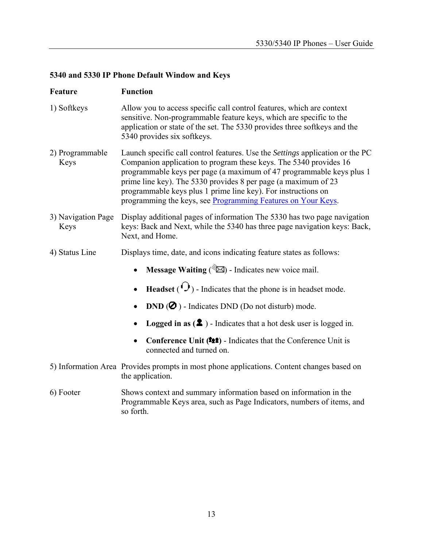# **5340 and 5330 IP Phone Default Window and Keys**

| <b>Feature</b>             | <b>Function</b>                                                                                                                                                                                                                                                                                                                                                                                                                      |  |  |
|----------------------------|--------------------------------------------------------------------------------------------------------------------------------------------------------------------------------------------------------------------------------------------------------------------------------------------------------------------------------------------------------------------------------------------------------------------------------------|--|--|
| 1) Softkeys                | Allow you to access specific call control features, which are context<br>sensitive. Non-programmable feature keys, which are specific to the<br>application or state of the set. The 5330 provides three softkeys and the<br>5340 provides six softkeys.                                                                                                                                                                             |  |  |
| 2) Programmable<br>Keys    | Launch specific call control features. Use the <i>Settings</i> application or the PC<br>Companion application to program these keys. The 5340 provides 16<br>programmable keys per page (a maximum of 47 programmable keys plus 1<br>prime line key). The 5330 provides 8 per page (a maximum of 23<br>programmable keys plus 1 prime line key). For instructions on<br>programming the keys, see Programming Features on Your Keys. |  |  |
| 3) Navigation Page<br>Keys | Display additional pages of information The 5330 has two page navigation<br>keys: Back and Next, while the 5340 has three page navigation keys: Back,<br>Next, and Home.                                                                                                                                                                                                                                                             |  |  |
| 4) Status Line             | Displays time, date, and icons indicating feature states as follows:                                                                                                                                                                                                                                                                                                                                                                 |  |  |
|                            | <b>Message Waiting</b> ( $\mathbb{Z}$ ) - Indicates new voice mail.                                                                                                                                                                                                                                                                                                                                                                  |  |  |
|                            | <b>Headset</b> ( $\Omega$ ) - Indicates that the phone is in headset mode.                                                                                                                                                                                                                                                                                                                                                           |  |  |
|                            | $DND$ ( $\bullet$ ) - Indicates DND (Do not disturb) mode.                                                                                                                                                                                                                                                                                                                                                                           |  |  |
|                            | <b>Logged in as <math>(\triangle)</math></b> - Indicates that a hot desk user is logged in.                                                                                                                                                                                                                                                                                                                                          |  |  |
|                            | Conference Unit (11) - Indicates that the Conference Unit is<br>connected and turned on.                                                                                                                                                                                                                                                                                                                                             |  |  |
|                            | 5) Information Area Provides prompts in most phone applications. Content changes based on<br>the application.                                                                                                                                                                                                                                                                                                                        |  |  |
| 6) Footer                  | Shows context and summary information based on information in the<br>Programmable Keys area, such as Page Indicators, numbers of items, and<br>so forth.                                                                                                                                                                                                                                                                             |  |  |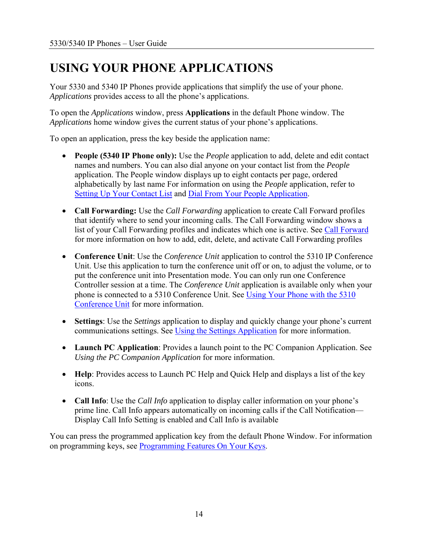# <span id="page-13-0"></span>**USING YOUR PHONE APPLICATIONS**

Your 5330 and 5340 IP Phones provide applications that simplify the use of your phone. *Applications* provides access to all the phone's applications.

To open the *Applications* window, press **Applications** in the default Phone window. The *Applications* home window gives the current status of your phone's applications.

To open an application, press the key beside the application name:

- **People (5340 IP Phone only):** Use the *People* application to add, delete and edit contact names and numbers. You can also dial anyone on your contact list from the *People* application. The People window displays up to eight contacts per page, ordered alphabetically by last name For information on using the *People* application, refer to [Setting Up Your Contact List](#page-31-0) and [Dial From Your People Application](#page-32-0).
- **Call Forwarding:** Use the *Call Forwarding* application to create Call Forward profiles that identify where to send your incoming calls. The Call Forwarding window shows a list of your Call Forwarding profiles and indicates which one is active. See [Call Forward](#page-38-0) for more information on how to add, edit, delete, and activate Call Forwarding profiles
- **Conference Unit**: Use the *Conference Unit* application to control the 5310 IP Conference Unit. Use this application to turn the conference unit off or on, to adjust the volume, or to put the conference unit into Presentation mode. You can only run one Conference Controller session at a time. The *Conference Unit* application is available only when your phone is connected to a 5310 Conference Unit. See [Using Your Phone with the 5310](#page-62-0)  [Conference Unit](#page-62-0) for more information.
- **Settings**: Use the *Settings* application to display and quickly change your phone's current communications settings. See [Using the Settings Application](#page-14-0) for more information.
- **Launch PC Application**: Provides a launch point to the PC Companion Application. See *Using the PC Companion Application* for more information.
- **Help**: Provides access to Launch PC Help and Quick Help and displays a list of the key icons.
- **Call Info**: Use the *Call Info* application to display caller information on your phone's prime line. Call Info appears automatically on incoming calls if the Call Notification— Display Call Info Setting is enabled and Call Info is available

You can press the programmed application key from the default Phone Window. For information on programming keys, see [Programming Features On Your Keys](#page-26-0).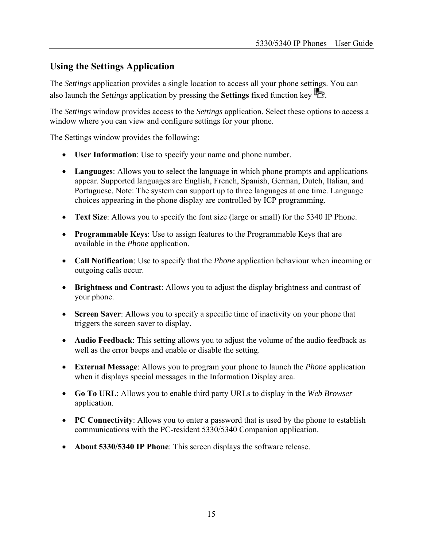### <span id="page-14-0"></span>**Using the Settings Application**

The *Settings* application provides a single location to access all your phone settings. You can also launch the *Settings* application by pressing the **Settings** fixed function key .

The *Settings* window provides access to the *Settings* application. Select these options to access a window where you can view and configure settings for your phone.

The Settings window provides the following:

- **User Information**: Use to specify your name and phone number.
- **Languages**: Allows you to select the language in which phone prompts and applications appear. Supported languages are English, French, Spanish, German, Dutch, Italian, and Portuguese. Note: The system can support up to three languages at one time. Language choices appearing in the phone display are controlled by ICP programming.
- **Text Size**: Allows you to specify the font size (large or small) for the 5340 IP Phone.
- **Programmable Keys**: Use to assign features to the Programmable Keys that are available in the *Phone* application.
- **Call Notification**: Use to specify that the *Phone* application behaviour when incoming or outgoing calls occur.
- **Brightness and Contrast**: Allows you to adjust the display brightness and contrast of your phone.
- **Screen Saver**: Allows you to specify a specific time of inactivity on your phone that triggers the screen saver to display.
- **Audio Feedback**: This setting allows you to adjust the volume of the audio feedback as well as the error beeps and enable or disable the setting.
- **External Message**: Allows you to program your phone to launch the *Phone* application when it displays special messages in the Information Display area.
- **Go To URL**: Allows you to enable third party URLs to display in the *Web Browser* application.
- **PC Connectivity**: Allows you to enter a password that is used by the phone to establish communications with the PC-resident 5330/5340 Companion application.
- **About 5330/5340 IP Phone**: This screen displays the software release.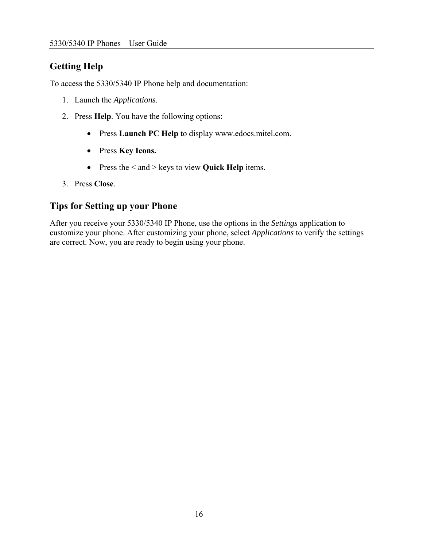# <span id="page-15-0"></span>**Getting Help**

To access the 5330/5340 IP Phone help and documentation:

- 1. Launch the *Applications*.
- 2. Press **Help**. You have the following options:
	- Press **Launch PC Help** to display www.edocs.mitel.com.
	- Press **Key Icons.**
	- Press the < and > keys to view **Quick Help** items.
- 3. Press **Close**.

### **Tips for Setting up your Phone**

After you receive your 5330/5340 IP Phone, use the options in the *Settings* application to customize your phone. After customizing your phone, select *Applications* to verify the settings are correct. Now, you are ready to begin using your phone.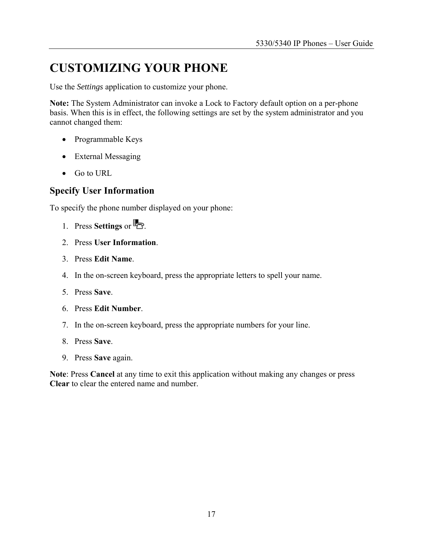# <span id="page-16-0"></span>**CUSTOMIZING YOUR PHONE**

Use the *Settings* application to customize your phone.

**Note:** The System Administrator can invoke a Lock to Factory default option on a per-phone basis. When this is in effect, the following settings are set by the system administrator and you cannot changed them:

- Programmable Keys
- External Messaging
- Go to URL

#### **Specify User Information**

To specify the phone number displayed on your phone:

- 1. Press **Settings** or  $\mathbb{Z}$ .
- 2. Press **User Information**.
- 3. Press **Edit Name**.
- 4. In the on-screen keyboard, press the appropriate letters to spell your name.
- 5. Press **Save**.
- 6. Press **Edit Number**.
- 7. In the on-screen keyboard, press the appropriate numbers for your line.
- 8. Press **Save**.
- 9. Press **Save** again.

**Note**: Press **Cancel** at any time to exit this application without making any changes or press **Clear** to clear the entered name and number.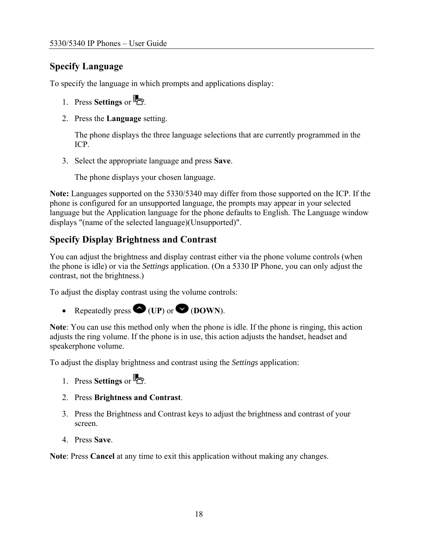# <span id="page-17-0"></span>**Specify Language**

To specify the language in which prompts and applications display:

- 1. Press **Settings** or  $\mathbb{R}$
- 2. Press the **Language** setting.

The phone displays the three language selections that are currently programmed in the ICP.

3. Select the appropriate language and press **Save**.

The phone displays your chosen language.

**Note:** Languages supported on the 5330/5340 may differ from those supported on the ICP. If the phone is configured for an unsupported language, the prompts may appear in your selected language but the Application language for the phone defaults to English. The Language window displays "(name of the selected language)(Unsupported)".

### **Specify Display Brightness and Contrast**

You can adjust the brightness and display contrast either via the phone volume controls (when the phone is idle) or via the *Settings* application. (On a 5330 IP Phone, you can only adjust the contrast, not the brightness.)

To adjust the display contrast using the volume controls:

• Repeatedly press  $\bigotimes$  (UP) or  $\bigotimes$  (DOWN).

**Note**: You can use this method only when the phone is idle. If the phone is ringing, this action adjusts the ring volume. If the phone is in use, this action adjusts the handset, headset and speakerphone volume.

To adjust the display brightness and contrast using the *Settings* application:

- 1. Press **Settings** or .
- 2. Press **Brightness and Contrast**.
- 3. Press the Brightness and Contrast keys to adjust the brightness and contrast of your screen.
- 4. Press **Save**.

**Note**: Press **Cancel** at any time to exit this application without making any changes.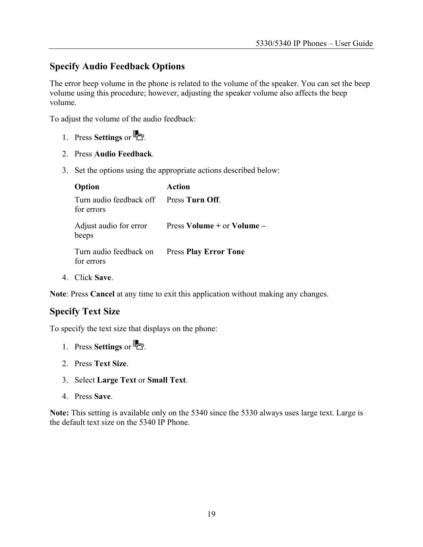#### <span id="page-18-0"></span>**Specify Audio Feedback Options**

The error beep volume in the phone is related to the volume of the speaker. You can set the beep volume using this procedure; however, adjusting the speaker volume also affects the beep volume.

To adjust the volume of the audio feedback:

- 1. Press **Settings** or  $\mathbb{Z}$ .
- 2. Press **Audio Feedback**.
- 3. Set the options using the appropriate actions described below:

| Option                                                     | <b>Action</b>              |
|------------------------------------------------------------|----------------------------|
| Turn audio feedback off Press Turn Off.<br>for errors      |                            |
| Adjust audio for error<br>beeps                            | Press Volume + or Volume - |
| Turn audio feedback on Press Play Error Tone<br>for errors |                            |
|                                                            |                            |

4. Click **Save**.

**Note**: Press **Cancel** at any time to exit this application without making any changes.

#### **Specify Text Size**

To specify the text size that displays on the phone:

- 1. Press **Settings** or  $\mathbb{R}$
- 2. Press **Text Size**.
- 3. Select **Large Text** or **Small Text**.
- 4. Press **Save**.

**Note:** This setting is available only on the 5340 since the 5330 always uses large text. Large is the default text size on the 5340 IP Phone.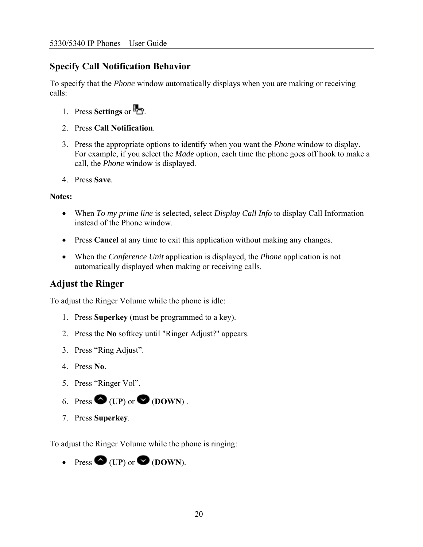### <span id="page-19-0"></span>**Specify Call Notification Behavior**

To specify that the *Phone* window automatically displays when you are making or receiving calls:

- 1. Press **Settings** or  $\mathbb{R}$
- 2. Press **Call Notification**.
- 3. Press the appropriate options to identify when you want the *Phone* window to display. For example, if you select the *Made* option, each time the phone goes off hook to make a call, the *Phone* window is displayed.
- 4. Press **Save**.

#### **Notes:**

- When *To my prime line* is selected, select *Display Call Info* to display Call Information instead of the Phone window.
- Press **Cancel** at any time to exit this application without making any changes.
- When the *Conference Unit* application is displayed, the *Phone* application is not automatically displayed when making or receiving calls.

#### **Adjust the Ringer**

To adjust the Ringer Volume while the phone is idle:

- 1. Press **Superkey** (must be programmed to a key).
- 2. Press the **No** softkey until "Ringer Adjust?" appears.
- 3. Press "Ring Adjust".
- 4. Press **No**.
- 5. Press "Ringer Vol".
- 6. Press  $\bigotimes$  (UP) or  $\bigotimes$  (DOWN).
- 7. Press **Superkey**.

To adjust the Ringer Volume while the phone is ringing:

• Press  $\bigcirc$  (UP) or  $\bigcirc$  (DOWN).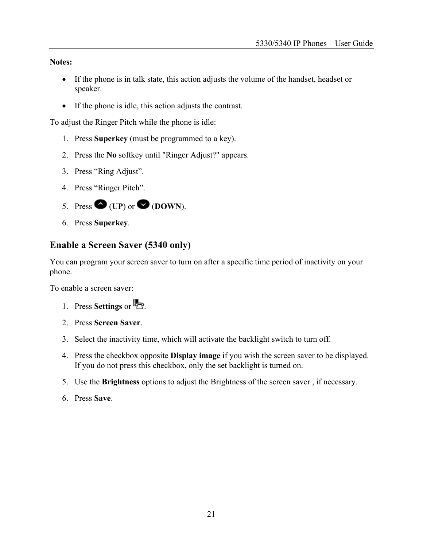<span id="page-20-0"></span>**Notes:**

- If the phone is in talk state, this action adjusts the volume of the handset, headset or speaker.
- If the phone is idle, this action adjusts the contrast.

To adjust the Ringer Pitch while the phone is idle:

- 1. Press **Superkey** (must be programmed to a key).
- 2. Press the **No** softkey until "Ringer Adjust?" appears.
- 3. Press "Ring Adjust".
- 4. Press "Ringer Pitch".
- 5. Press  $\bullet$  (UP) or  $\bullet$  (DOWN).
- 6. Press **Superkey**.

#### **Enable a Screen Saver (5340 only)**

You can program your screen saver to turn on after a specific time period of inactivity on your phone.

To enable a screen saver:

- 1. Press **Settings** or  $\mathbb{R}$ .
- 2. Press **Screen Saver**.
- 3. Select the inactivity time, which will activate the backlight switch to turn off.
- 4. Press the checkbox opposite **Display image** if you wish the screen saver to be displayed. If you do not press this checkbox, only the set backlight is turned on.
- 5. Use the **Brightness** options to adjust the Brightness of the screen saver , if necessary.
- 6. Press **Save**.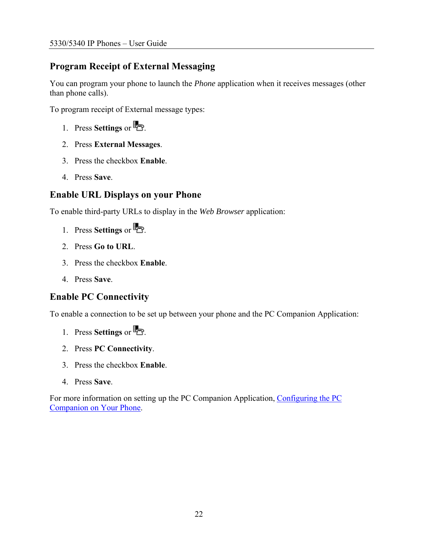# <span id="page-21-0"></span>**Program Receipt of External Messaging**

You can program your phone to launch the *Phone* application when it receives messages (other than phone calls).

To program receipt of External message types:

- 1. Press **Settings** or  $\mathbb{Z}$ .
- 2. Press **External Messages**.
- 3. Press the checkbox **Enable**.
- 4. Press **Save**.

### **Enable URL Displays on your Phone**

To enable third-party URLs to display in the *Web Browser* application:

- 1. Press **Settings** or **...**
- 2. Press **Go to URL**.
- 3. Press the checkbox **Enable**.
- 4. Press **Save**.

# **Enable PC Connectivity**

To enable a connection to be set up between your phone and the PC Companion Application:

- 1. Press **Settings** or **...**
- 2. Press **PC Connectivity**.
- 3. Press the checkbox **Enable**.
- 4. Press **Save**.

For more information on setting up the PC Companion Application, [Configuring the PC](#page-22-0)  [Companion on Your Phone.](#page-22-0)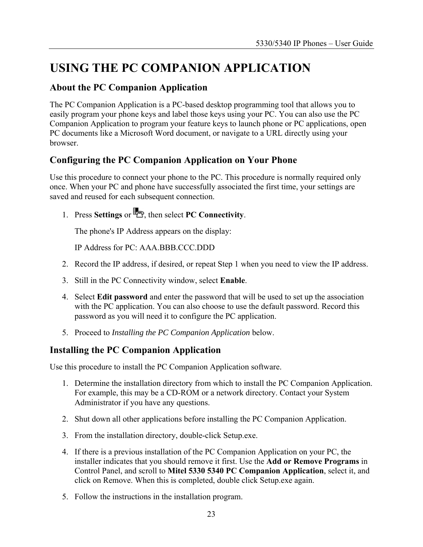# <span id="page-22-0"></span>**USING THE PC COMPANION APPLICATION**

#### **About the PC Companion Application**

The PC Companion Application is a PC-based desktop programming tool that allows you to easily program your phone keys and label those keys using your PC. You can also use the PC Companion Application to program your feature keys to launch phone or PC applications, open PC documents like a Microsoft Word document, or navigate to a URL directly using your browser.

### **Configuring the PC Companion Application on Your Phone**

Use this procedure to connect your phone to the PC. This procedure is normally required only once. When your PC and phone have successfully associated the first time, your settings are saved and reused for each subsequent connection.

1. Press **Settings** or **b**, then select **PC Connectivity**.

The phone's IP Address appears on the display:

IP Address for PC: AAA.BBB.CCC.DDD

- 2. Record the IP address, if desired, or repeat Step 1 when you need to view the IP address.
- 3. Still in the PC Connectivity window, select **Enable**.
- 4. Select **Edit password** and enter the password that will be used to set up the association with the PC application. You can also choose to use the default password. Record this password as you will need it to configure the PC application.
- 5. Proceed to *Installing the PC Companion Application* below.

### **Installing the PC Companion Application**

Use this procedure to install the PC Companion Application software.

- 1. Determine the installation directory from which to install the PC Companion Application. For example, this may be a CD-ROM or a network directory. Contact your System Administrator if you have any questions.
- 2. Shut down all other applications before installing the PC Companion Application.
- 3. From the installation directory, double-click Setup.exe.
- 4. If there is a previous installation of the PC Companion Application on your PC, the installer indicates that you should remove it first. Use the **Add or Remove Programs** in Control Panel, and scroll to **Mitel 5330 5340 PC Companion Application**, select it, and click on Remove. When this is completed, double click Setup.exe again.
- 5. Follow the instructions in the installation program.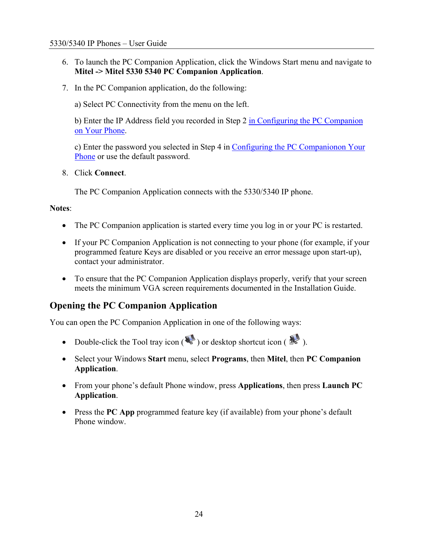- <span id="page-23-0"></span>6. To launch the PC Companion Application, click the Windows Start menu and navigate to **Mitel -> Mitel 5330 5340 PC Companion Application**.
- 7. In the PC Companion application, do the following:

a) Select PC Connectivity from the menu on the left.

b) Enter the IP Address field you recorded in Step 2 [in Configuring the PC Companion](#page-22-0)  [on Your Phone.](#page-22-0)

c) Enter the password you selected in Step 4 in [Configuring the PC Companionon Your](#page-22-0)  [Phone](#page-22-0) or use the default password.

8. Click **Connect**.

The PC Companion Application connects with the 5330/5340 IP phone.

#### **Notes**:

- The PC Companion application is started every time you log in or your PC is restarted.
- If your PC Companion Application is not connecting to your phone (for example, if your programmed feature Keys are disabled or you receive an error message upon start-up), contact your administrator.
- To ensure that the PC Companion Application displays properly, verify that your screen meets the minimum VGA screen requirements documented in the Installation Guide.

#### **Opening the PC Companion Application**

You can open the PC Companion Application in one of the following ways:

- Double-click the Tool tray icon  $(\mathbb{R})$  or desktop shortcut icon  $(\mathbb{R})$ .
- Select your Windows **Start** menu, select **Programs**, then **Mitel**, then **PC Companion Application**.
- From your phone's default Phone window, press **Applications**, then press **Launch PC Application**.
- Press the **PC App** programmed feature key (if available) from your phone's default Phone window.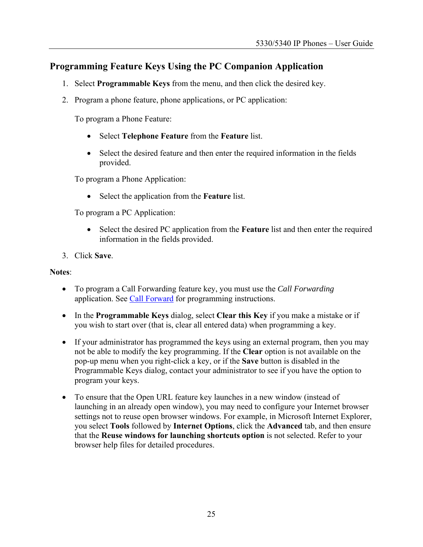### <span id="page-24-0"></span>**Programming Feature Keys Using the PC Companion Application**

- 1. Select **Programmable Keys** from the menu, and then click the desired key.
- 2. Program a phone feature, phone applications, or PC application:

To program a Phone Feature:

- Select **Telephone Feature** from the **Feature** list.
- Select the desired feature and then enter the required information in the fields provided.

To program a Phone Application:

• Select the application from the **Feature** list.

To program a PC Application:

- Select the desired PC application from the **Feature** list and then enter the required information in the fields provided.
- 3. Click **Save**.

#### **Notes**:

- To program a Call Forwarding feature key, you must use the *Call Forwarding* application. See [Call Forward](#page-38-0) for programming instructions.
- In the **Programmable Keys** dialog, select **Clear this Key** if you make a mistake or if you wish to start over (that is, clear all entered data) when programming a key.
- If your administrator has programmed the keys using an external program, then you may not be able to modify the key programming. If the **Clear** option is not available on the pop-up menu when you right-click a key, or if the **Save** button is disabled in the Programmable Keys dialog, contact your administrator to see if you have the option to program your keys.
- To ensure that the Open URL feature key launches in a new window (instead of launching in an already open window), you may need to configure your Internet browser settings not to reuse open browser windows. For example, in Microsoft Internet Explorer, you select **Tools** followed by **Internet Options**, click the **Advanced** tab, and then ensure that the **Reuse windows for launching shortcuts option** is not selected. Refer to your browser help files for detailed procedures.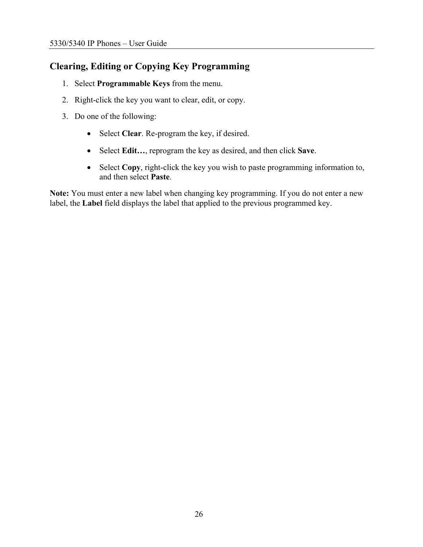# <span id="page-25-0"></span>**Clearing, Editing or Copying Key Programming**

- 1. Select **Programmable Keys** from the menu.
- 2. Right-click the key you want to clear, edit, or copy.
- 3. Do one of the following:
	- Select **Clear**. Re-program the key, if desired.
	- Select **Edit…**, reprogram the key as desired, and then click **Save**.
	- Select **Copy**, right-click the key you wish to paste programming information to, and then select **Paste**.

**Note:** You must enter a new label when changing key programming. If you do not enter a new label, the **Label** field displays the label that applied to the previous programmed key.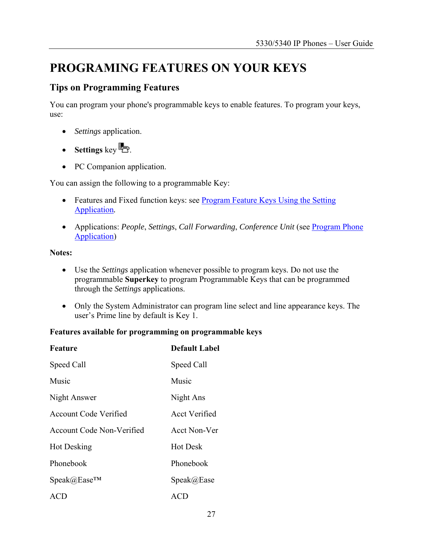# <span id="page-26-0"></span>**PROGRAMING FEATURES ON YOUR KEYS**

### **Tips on Programming Features**

You can program your phone's programmable keys to enable features. To program your keys, use:

- *Settings* application.
- **Settings** key  $\mathbb{R}$ .
- PC Companion application.

You can assign the following to a programmable Key:

- Features and Fixed function keys: see **Program Feature Keys Using the Setting** [Application](#page-29-0)*.*
- Applications: *People*, *Settings*, *Call Forwarding*, *Conference Unit* (see **Program Phone**) [Application\)](#page-29-0)

#### **Notes:**

- Use the *Settings* application whenever possible to program keys. Do not use the programmable **Superkey** to program Programmable Keys that can be programmed through the *Settings* applications.
- Only the System Administrator can program line select and line appearance keys. The user's Prime line by default is Key 1.

#### **Features available for programming on programmable keys**

| Feature                                   | <b>Default Label</b> |
|-------------------------------------------|----------------------|
| Speed Call                                | Speed Call           |
| Music                                     | Music                |
| Night Answer                              | Night Ans            |
| <b>Account Code Verified</b>              | <b>Acct Verified</b> |
| <b>Account Code Non-Verified</b>          | Acct Non-Ver         |
| <b>Hot Desking</b>                        | <b>Hot Desk</b>      |
| Phonebook                                 | Phonebook            |
| $\text{Speak}(a) \text{Ease}^{\text{TM}}$ | Speak@Ease           |
| ACD                                       | ACD                  |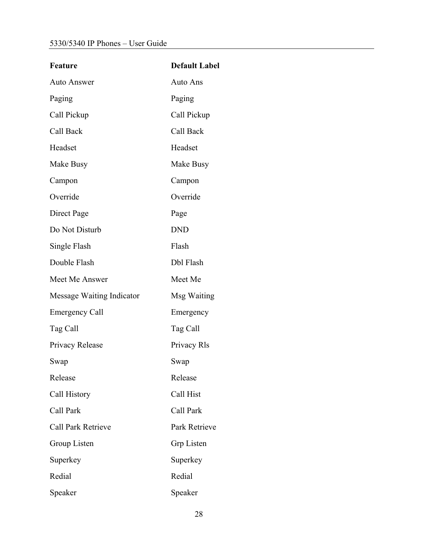| Feature                   | <b>Default Label</b> |
|---------------------------|----------------------|
| <b>Auto Answer</b>        | Auto Ans             |
| Paging                    | Paging               |
| Call Pickup               | Call Pickup          |
| Call Back                 | Call Back            |
| Headset                   | Headset              |
| Make Busy                 | Make Busy            |
| Campon                    | Campon               |
| Override                  | Override             |
| Direct Page               | Page                 |
| Do Not Disturb            | <b>DND</b>           |
| Single Flash              | Flash                |
| Double Flash              | Dbl Flash            |
| Meet Me Answer            | Meet Me              |
| Message Waiting Indicator | Msg Waiting          |
| <b>Emergency Call</b>     | Emergency            |
| Tag Call                  | Tag Call             |
| Privacy Release           | Privacy Rls          |
| Swap                      | Swap                 |
| Release                   | Release              |
| Call History              | Call Hist            |
| Call Park                 | Call Park            |
| <b>Call Park Retrieve</b> | Park Retrieve        |
| Group Listen              | Grp Listen           |
| Superkey                  | Superkey             |
| Redial                    | Redial               |
| Speaker                   | Speaker              |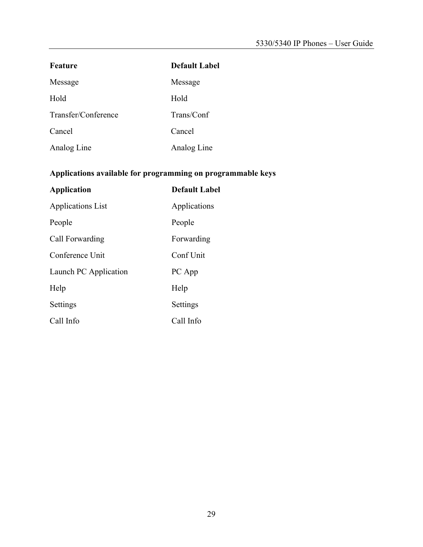| Feature             | <b>Default Label</b> |
|---------------------|----------------------|
| Message             | Message              |
| Hold                | Hold                 |
| Transfer/Conference | Trans/Conf           |
| Cancel              | Cancel               |
| Analog Line         | Analog Line          |

# **Applications available for programming on programmable keys**

| <b>Application</b>       | <b>Default Label</b> |
|--------------------------|----------------------|
| <b>Applications List</b> | Applications         |
| People                   | People               |
| Call Forwarding          | Forwarding           |
| Conference Unit          | Conf Unit            |
| Launch PC Application    | PC App               |
| Help                     | Help                 |
| Settings                 | Settings             |
| Call Info                | Call Info            |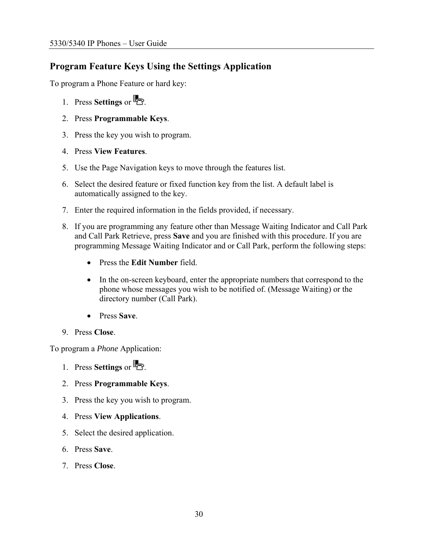### <span id="page-29-0"></span>**Program Feature Keys Using the Settings Application**

To program a Phone Feature or hard key:

- 1. Press **Settings** or  $\mathbb{R}$ .
- 2. Press **Programmable Keys**.
- 3. Press the key you wish to program.
- 4. Press **View Features**.
- 5. Use the Page Navigation keys to move through the features list.
- 6. Select the desired feature or fixed function key from the list. A default label is automatically assigned to the key.
- 7. Enter the required information in the fields provided, if necessary.
- 8. If you are programming any feature other than Message Waiting Indicator and Call Park and Call Park Retrieve, press **Save** and you are finished with this procedure. If you are programming Message Waiting Indicator and or Call Park, perform the following steps:
	- Press the **Edit Number** field.
	- In the on-screen keyboard, enter the appropriate numbers that correspond to the phone whose messages you wish to be notified of. (Message Waiting) or the directory number (Call Park).
	- Press **Save**.
- 9. Press **Close**.

To program a *Phone* Application:

- 1. Press **Settings** or  $\mathbb{Z}$ .
- 2. Press **Programmable Keys**.
- 3. Press the key you wish to program.
- 4. Press **View Applications**.
- 5. Select the desired application.
- 6. Press **Save**.
- 7. Press **Close**.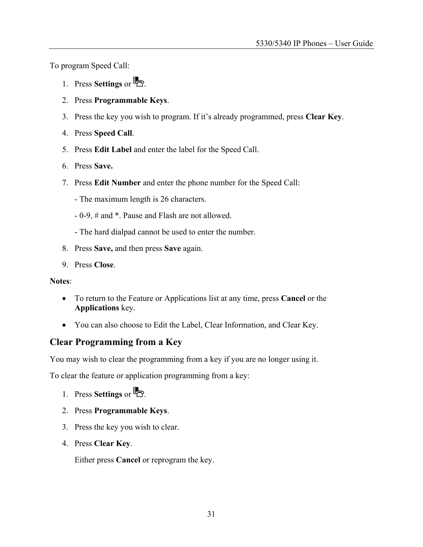<span id="page-30-0"></span>To program Speed Call:

- 1. Press **Settings** or  $\mathbb{R}$
- 2. Press **Programmable Keys**.
- 3. Press the key you wish to program. If it's already programmed, press **Clear Key**.
- 4. Press **Speed Call**.
- 5. Press **Edit Label** and enter the label for the Speed Call.
- 6. Press **Save.**
- 7. Press **Edit Number** and enter the phone number for the Speed Call:
	- The maximum length is 26 characters.
	- 0-9, # and \*. Pause and Flash are not allowed.
	- The hard dialpad cannot be used to enter the number.
- 8. Press **Save,** and then press **Save** again.
- 9. Press **Close**.

#### **Notes**:

- To return to the Feature or Applications list at any time, press **Cancel** or the **Applications** key.
- You can also choose to Edit the Label, Clear Information, and Clear Key.

#### **Clear Programming from a Key**

You may wish to clear the programming from a key if you are no longer using it.

To clear the feature or application programming from a key:

- 1. Press **Settings** or  $\mathbb{R}$
- 2. Press **Programmable Keys**.
- 3. Press the key you wish to clear.
- 4. Press **Clear Key**.

Either press **Cancel** or reprogram the key.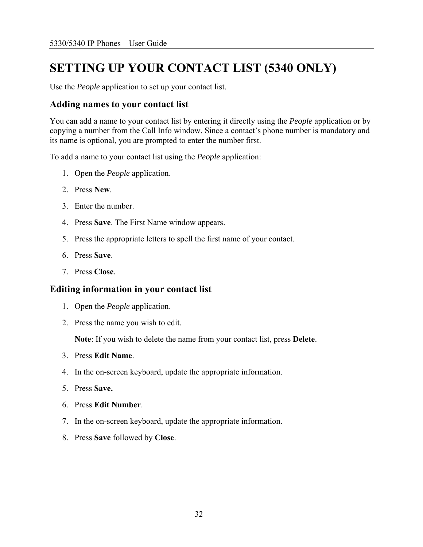# <span id="page-31-0"></span>**SETTING UP YOUR CONTACT LIST (5340 ONLY)**

Use the *People* application to set up your contact list.

#### **Adding names to your contact list**

You can add a name to your contact list by entering it directly using the *People* application or by copying a number from the Call Info window. Since a contact's phone number is mandatory and its name is optional, you are prompted to enter the number first.

To add a name to your contact list using the *People* application:

- 1. Open the *People* application.
- 2. Press **New**.
- 3. Enter the number.
- 4. Press **Save**. The First Name window appears.
- 5. Press the appropriate letters to spell the first name of your contact.
- 6. Press **Save**.
- 7. Press **Close**.

#### **Editing information in your contact list**

- 1. Open the *People* application.
- 2. Press the name you wish to edit.

**Note**: If you wish to delete the name from your contact list, press **Delete**.

- 3. Press **Edit Name**.
- 4. In the on-screen keyboard, update the appropriate information.
- 5. Press **Save.**
- 6. Press **Edit Number**.
- 7. In the on-screen keyboard, update the appropriate information.
- 8. Press **Save** followed by **Close**.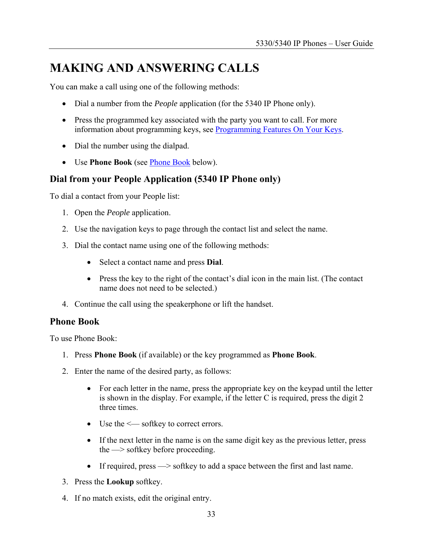# <span id="page-32-0"></span>**MAKING AND ANSWERING CALLS**

You can make a call using one of the following methods:

- Dial a number from the *People* application (for the 5340 IP Phone only).
- Press the programmed key associated with the party you want to call. For more information about programming keys, see [Programming Features On Your Keys.](#page-26-0)
- Dial the number using the dialpad.
- Use **Phone Book** (see [Phone Book](#page-32-0) below).

### **Dial from your People Application (5340 IP Phone only)**

To dial a contact from your People list:

- 1. Open the *People* application.
- 2. Use the navigation keys to page through the contact list and select the name.
- 3. Dial the contact name using one of the following methods:
	- Select a contact name and press **Dial**.
	- Press the key to the right of the contact's dial icon in the main list. (The contact name does not need to be selected.)
- 4. Continue the call using the speakerphone or lift the handset.

#### **Phone Book**

To use Phone Book:

- 1. Press **Phone Book** (if available) or the key programmed as **Phone Book**.
- 2. Enter the name of the desired party, as follows:
	- For each letter in the name, press the appropriate key on the keypad until the letter is shown in the display. For example, if the letter C is required, press the digit 2 three times.
	- Use the  $\le$  softkey to correct errors.
	- If the next letter in the name is on the same digit key as the previous letter, press the —> softkey before proceeding.
	- If required, press  $\rightarrow$  softkey to add a space between the first and last name.
- 3. Press the **Lookup** softkey.
- 4. If no match exists, edit the original entry.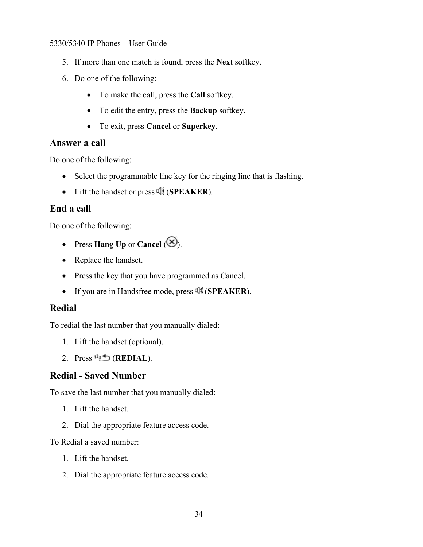- <span id="page-33-0"></span>5. If more than one match is found, press the **Next** softkey.
- 6. Do one of the following:
	- To make the call, press the **Call** softkey.
	- To edit the entry, press the **Backup** softkey.
	- To exit, press **Cancel** or **Superkey**.

#### **Answer a call**

Do one of the following:

- Select the programmable line key for the ringing line that is flashing.
- Lift the handset or press (**SPEAKER**).

#### **End a call**

Do one of the following:

- Press **Hang Up** or **Cancel**  $(\mathcal{B})$ .
- Replace the handset.
- Press the key that you have programmed as Cancel.
- If you are in Handsfree mode, press (**SPEAKER**).

#### **Redial**

To redial the last number that you manually dialed:

- 1. Lift the handset (optional).
- 2. Press  $12 \oplus (REDL)$ .

### **Redial - Saved Number**

To save the last number that you manually dialed:

- 1. Lift the handset.
- 2. Dial the appropriate feature access code.

To Redial a saved number:

- 1. Lift the handset.
- 2. Dial the appropriate feature access code.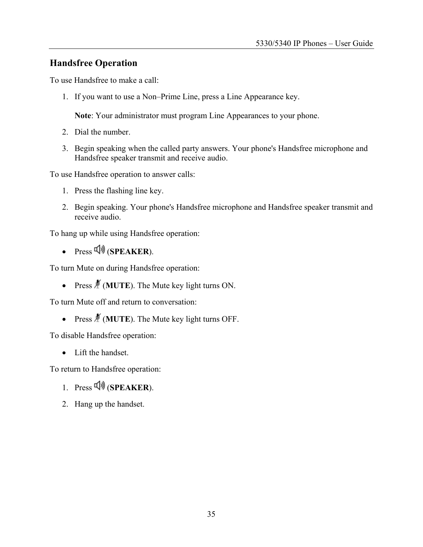#### <span id="page-34-0"></span>**Handsfree Operation**

To use Handsfree to make a call:

1. If you want to use a Non–Prime Line, press a Line Appearance key.

**Note**: Your administrator must program Line Appearances to your phone.

- 2. Dial the number.
- 3. Begin speaking when the called party answers. Your phone's Handsfree microphone and Handsfree speaker transmit and receive audio.

To use Handsfree operation to answer calls:

- 1. Press the flashing line key.
- 2. Begin speaking. Your phone's Handsfree microphone and Handsfree speaker transmit and receive audio.

To hang up while using Handsfree operation:

 $\cdot$  Press  $\overline{\psi}$  (**SPEAKER**).

To turn Mute on during Handsfree operation:

• Press  $\frac{M}{A}$  (**MUTE**). The Mute key light turns ON.

To turn Mute off and return to conversation:

• Press  $\cancel{\#}$  (**MUTE**). The Mute key light turns OFF.

To disable Handsfree operation:

• Lift the handset.

To return to Handsfree operation:

- 1. Press  $\overline{\psi}$  (**SPEAKER**).
- 2. Hang up the handset.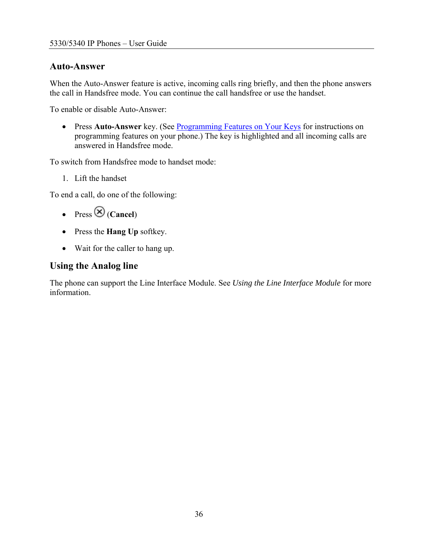#### <span id="page-35-0"></span>**Auto-Answer**

When the Auto-Answer feature is active, incoming calls ring briefly, and then the phone answers the call in Handsfree mode. You can continue the call handsfree or use the handset.

To enable or disable Auto-Answer:

• Press **Auto-Answer** key. (See [Programming Features on Your Keys](#page-26-0) for instructions on programming features on your phone.) The key is highlighted and all incoming calls are answered in Handsfree mode.

To switch from Handsfree mode to handset mode:

1. Lift the handset

To end a call, do one of the following:

- Press  $\bigotimes$  (**Cancel**)
- Press the **Hang Up** softkey.
- Wait for the caller to hang up.

### **Using the Analog line**

The phone can support the Line Interface Module. See *Using the Line Interface Module* for more information.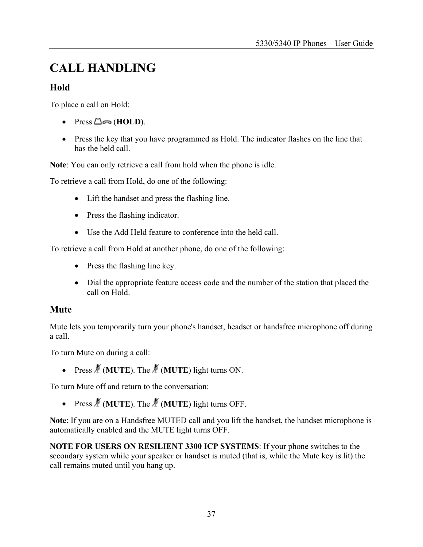# <span id="page-36-0"></span>**CALL HANDLING**

### **Hold**

To place a call on Hold:

- Press **△∞** (**HOLD**).
- Press the key that you have programmed as Hold. The indicator flashes on the line that has the held call.

**Note**: You can only retrieve a call from hold when the phone is idle.

To retrieve a call from Hold, do one of the following:

- Lift the handset and press the flashing line.
- Press the flashing indicator.
- Use the Add Held feature to conference into the held call.

To retrieve a call from Hold at another phone, do one of the following:

- Press the flashing line key.
- Dial the appropriate feature access code and the number of the station that placed the call on Hold.

#### **Mute**

Mute lets you temporarily turn your phone's handset, headset or handsfree microphone off during a call.

To turn Mute on during a call:

• Press  $\cancel{\#}$  (**MUTE**). The  $\cancel{\#}$  (**MUTE**) light turns ON.

To turn Mute off and return to the conversation:

• Press  $\cancel{\mathcal{M}}$  (**MUTE**). The  $\cancel{\mathcal{M}}$  (**MUTE**) light turns OFF.

**Note**: If you are on a Handsfree MUTED call and you lift the handset, the handset microphone is automatically enabled and the MUTE light turns OFF.

**NOTE FOR USERS ON RESILIENT 3300 ICP SYSTEMS**: If your phone switches to the secondary system while your speaker or handset is muted (that is, while the Mute key is lit) the call remains muted until you hang up.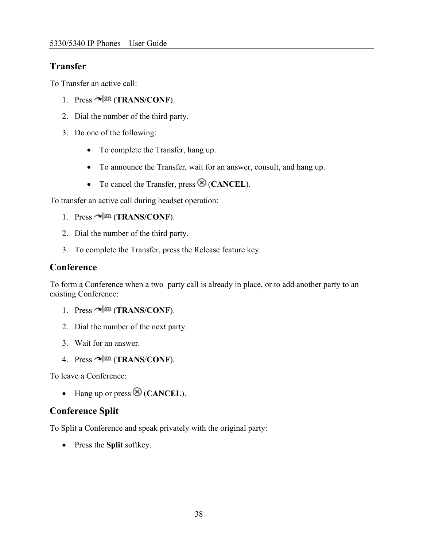# <span id="page-37-0"></span>**Transfer**

To Transfer an active call:

- 1. Press  $\sim$   $\sqrt{50}$  (**TRANS/CONF**).
- 2. Dial the number of the third party.
- 3. Do one of the following:
	- To complete the Transfer, hang up.
	- To announce the Transfer, wait for an answer, consult, and hang up.
	- To cancel the Transfer, press  $\otimes$  (**CANCEL**).

To transfer an active call during headset operation:

- 1. Press  $\sim$  <sup>502</sup> (TRANS/CONF).
- 2. Dial the number of the third party.
- 3. To complete the Transfer, press the Release feature key.

#### **Conference**

To form a Conference when a two–party call is already in place, or to add another party to an existing Conference:

- 1. Press  $\sim$   $\sqrt{\frac{500}{1}}$  (**TRANS/CONF**).
- 2. Dial the number of the next party.
- 3. Wait for an answer.
- 4. Press  $\sim$   $\sqrt{\text{SR}}$  (TRANS/CONF).

To leave a Conference:

• Hang up or press  $\otimes$  (**CANCEL**).

### **Conference Split**

To Split a Conference and speak privately with the original party:

• Press the **Split** softkey.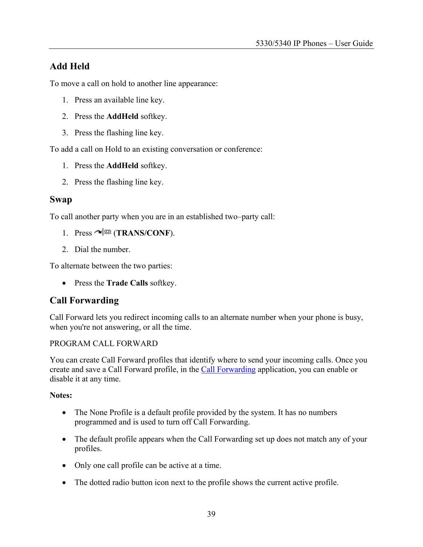# <span id="page-38-0"></span>**Add Held**

To move a call on hold to another line appearance:

- 1. Press an available line key.
- 2. Press the **AddHeld** softkey.
- 3. Press the flashing line key.

To add a call on Hold to an existing conversation or conference:

- 1. Press the **AddHeld** softkey.
- 2. Press the flashing line key.

#### **Swap**

To call another party when you are in an established two–party call:

- 1. Press  $\sim$   $\sqrt{\Omega}$  (TRANS/CONF).
- 2. Dial the number.

To alternate between the two parties:

• Press the **Trade Calls** softkey.

### **Call Forwarding**

Call Forward lets you redirect incoming calls to an alternate number when your phone is busy, when you're not answering, or all the time.

#### PROGRAM CALL FORWARD

You can create Call Forward profiles that identify where to send your incoming calls. Once you create and save a Call Forward profile, in the [Call Forwarding](#page-38-0) application, you can enable or disable it at any time.

#### **Notes:**

- The None Profile is a default profile provided by the system. It has no numbers programmed and is used to turn off Call Forwarding.
- The default profile appears when the Call Forwarding set up does not match any of your profiles.
- Only one call profile can be active at a time.
- The dotted radio button icon next to the profile shows the current active profile.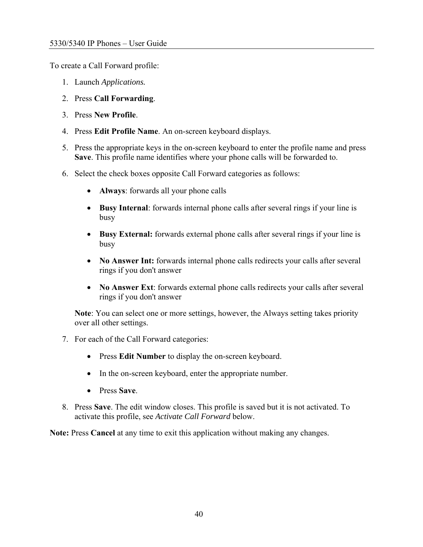To create a Call Forward profile:

- 1. Launch *Applications.*
- 2. Press **Call Forwarding**.
- 3. Press **New Profile**.
- 4. Press **Edit Profile Name**. An on-screen keyboard displays.
- 5. Press the appropriate keys in the on-screen keyboard to enter the profile name and press **Save**. This profile name identifies where your phone calls will be forwarded to.
- 6. Select the check boxes opposite Call Forward categories as follows:
	- **Always**: forwards all your phone calls
	- **Busy Internal**: forwards internal phone calls after several rings if your line is busy
	- **Busy External:** forwards external phone calls after several rings if your line is busy
	- **No Answer Int:** forwards internal phone calls redirects your calls after several rings if you don't answer
	- **No Answer Ext**: forwards external phone calls redirects your calls after several rings if you don't answer

**Note**: You can select one or more settings, however, the Always setting takes priority over all other settings.

- 7. For each of the Call Forward categories:
	- Press **Edit Number** to display the on-screen keyboard.
	- In the on-screen keyboard, enter the appropriate number.
	- Press **Save**.
- 8. Press **Save**. The edit window closes. This profile is saved but it is not activated. To activate this profile, see *Activate Call Forward* below.

**Note:** Press **Cancel** at any time to exit this application without making any changes.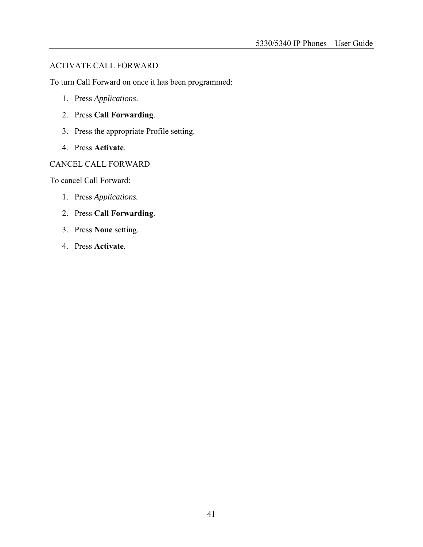#### ACTIVATE CALL FORWARD

To turn Call Forward on once it has been programmed:

- 1. Press *Applications*.
- 2. Press **Call Forwarding**.
- 3. Press the appropriate Profile setting.
- 4. Press **Activate**.

#### CANCEL CALL FORWARD

To cancel Call Forward:

- 1. Press *Applications.*
- 2. Press **Call Forwarding**.
- 3. Press **None** setting.
- 4. Press **Activate**.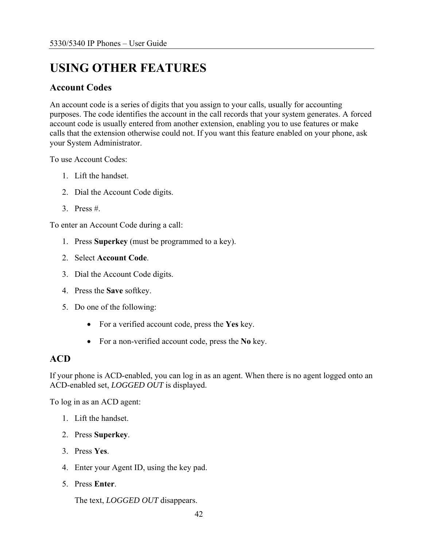# <span id="page-41-0"></span>**USING OTHER FEATURES**

#### **Account Codes**

An account code is a series of digits that you assign to your calls, usually for accounting purposes. The code identifies the account in the call records that your system generates. A forced account code is usually entered from another extension, enabling you to use features or make calls that the extension otherwise could not. If you want this feature enabled on your phone, ask your System Administrator.

To use Account Codes:

- 1. Lift the handset.
- 2. Dial the Account Code digits.
- $3.$  Press #

To enter an Account Code during a call:

- 1. Press **Superkey** (must be programmed to a key).
- 2. Select **Account Code**.
- 3. Dial the Account Code digits.
- 4. Press the **Save** softkey.
- 5. Do one of the following:
	- For a verified account code, press the **Yes** key.
	- For a non-verified account code, press the **No** key.

#### **ACD**

If your phone is ACD-enabled, you can log in as an agent. When there is no agent logged onto an ACD-enabled set, *LOGGED OUT* is displayed.

To log in as an ACD agent:

- 1. Lift the handset.
- 2. Press **Superkey**.
- 3. Press **Yes**.
- 4. Enter your Agent ID, using the key pad.
- 5. Press **Enter**.

The text, *LOGGED OUT* disappears.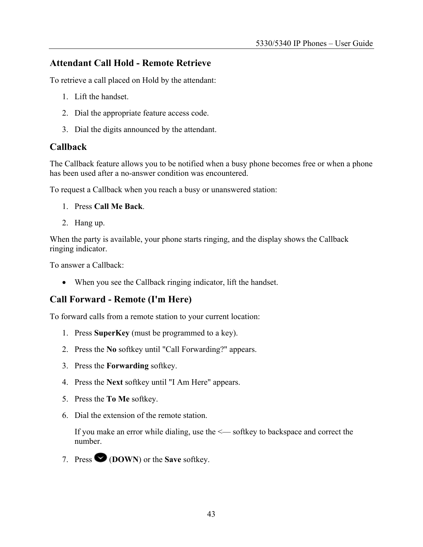#### <span id="page-42-0"></span>**Attendant Call Hold - Remote Retrieve**

To retrieve a call placed on Hold by the attendant:

- 1. Lift the handset.
- 2. Dial the appropriate feature access code.
- 3. Dial the digits announced by the attendant.

#### **Callback**

The Callback feature allows you to be notified when a busy phone becomes free or when a phone has been used after a no-answer condition was encountered.

To request a Callback when you reach a busy or unanswered station:

- 1. Press **Call Me Back**.
- 2. Hang up.

When the party is available, your phone starts ringing, and the display shows the Callback ringing indicator.

To answer a Callback:

• When you see the Callback ringing indicator, lift the handset.

#### **Call Forward - Remote (I'm Here)**

To forward calls from a remote station to your current location:

- 1. Press **SuperKey** (must be programmed to a key).
- 2. Press the **No** softkey until "Call Forwarding?" appears.
- 3. Press the **Forwarding** softkey.
- 4. Press the **Next** softkey until "I Am Here" appears.
- 5. Press the **To Me** softkey.
- 6. Dial the extension of the remote station.

If you make an error while dialing, use the <— softkey to backspace and correct the number.

7. Press (**DOWN**) or the **Save** softkey.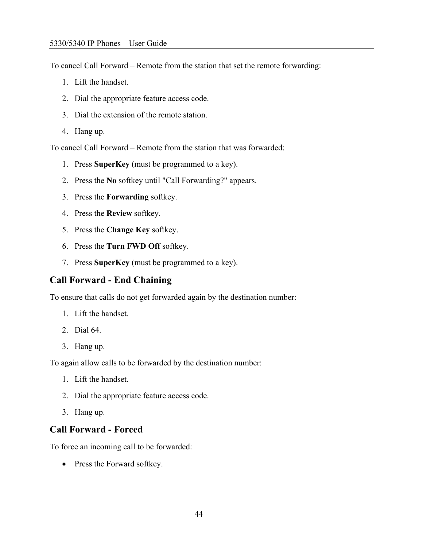<span id="page-43-0"></span>To cancel Call Forward – Remote from the station that set the remote forwarding:

- 1. Lift the handset.
- 2. Dial the appropriate feature access code.
- 3. Dial the extension of the remote station.
- 4. Hang up.

To cancel Call Forward – Remote from the station that was forwarded:

- 1. Press **SuperKey** (must be programmed to a key).
- 2. Press the **No** softkey until "Call Forwarding?" appears.
- 3. Press the **Forwarding** softkey.
- 4. Press the **Review** softkey.
- 5. Press the **Change Key** softkey.
- 6. Press the **Turn FWD Off** softkey.
- 7. Press **SuperKey** (must be programmed to a key).

#### **Call Forward - End Chaining**

To ensure that calls do not get forwarded again by the destination number:

- 1. Lift the handset.
- 2. Dial 64.
- 3. Hang up.

To again allow calls to be forwarded by the destination number:

- 1. Lift the handset.
- 2. Dial the appropriate feature access code.
- 3. Hang up.

#### **Call Forward - Forced**

To force an incoming call to be forwarded:

• Press the Forward softkey.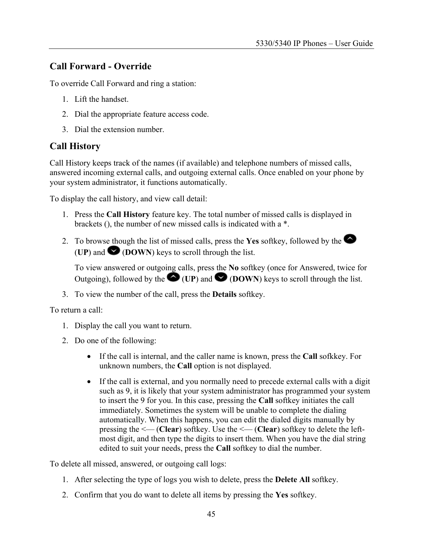### <span id="page-44-0"></span>**Call Forward - Override**

To override Call Forward and ring a station:

- 1. Lift the handset.
- 2. Dial the appropriate feature access code.
- 3. Dial the extension number.

### **Call History**

Call History keeps track of the names (if available) and telephone numbers of missed calls, answered incoming external calls, and outgoing external calls. Once enabled on your phone by your system administrator, it functions automatically.

To display the call history, and view call detail:

- 1. Press the **Call History** feature key. The total number of missed calls is displayed in brackets (), the number of new missed calls is indicated with a \*.
- 2. To browse though the list of missed calls, press the **Yes** softkey, followed by the **(UP)** and  $\bullet$  **(DOWN)** keys to scroll through the list.

To view answered or outgoing calls, press the **No** softkey (once for Answered, twice for Outgoing), followed by the  $\bigcirc$  (UP) and  $\bigcirc$  (DOWN) keys to scroll through the list.

3. To view the number of the call, press the **Details** softkey.

To return a call:

- 1. Display the call you want to return.
- 2. Do one of the following:
	- If the call is internal, and the caller name is known, press the **Call** sofkkey. For unknown numbers, the **Call** option is not displayed.
	- If the call is external, and you normally need to precede external calls with a digit such as 9, it is likely that your system administrator has programmed your system to insert the 9 for you. In this case, pressing the **Call** softkey initiates the call immediately. Sometimes the system will be unable to complete the dialing automatically. When this happens, you can edit the dialed digits manually by pressing the <— (**Clear**) softkey. Use the <— (**Clear**) softkey to delete the leftmost digit, and then type the digits to insert them. When you have the dial string edited to suit your needs, press the **Call** softkey to dial the number.

To delete all missed, answered, or outgoing call logs:

- 1. After selecting the type of logs you wish to delete, press the **Delete All** softkey.
- 2. Confirm that you do want to delete all items by pressing the **Yes** softkey.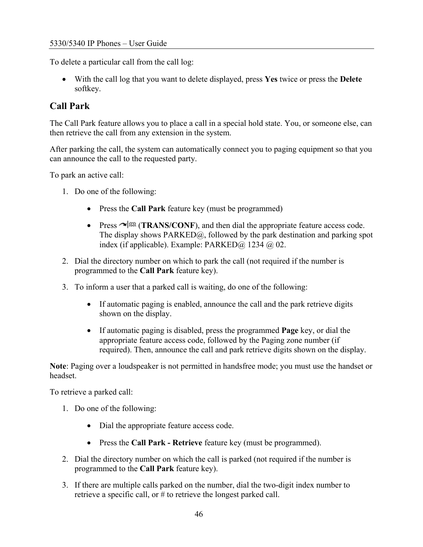<span id="page-45-0"></span>To delete a particular call from the call log:

• With the call log that you want to delete displayed, press **Yes** twice or press the **Delete** softkey.

### **Call Park**

The Call Park feature allows you to place a call in a special hold state. You, or someone else, can then retrieve the call from any extension in the system.

After parking the call, the system can automatically connect you to paging equipment so that you can announce the call to the requested party.

To park an active call:

- 1. Do one of the following:
	- Press the **Call Park** feature key (must be programmed)
	- Press  $\sim$   $\sqrt{3R}$  (**TRANS/CONF**), and then dial the appropriate feature access code. The display shows PARKED@, followed by the park destination and parking spot index (if applicable). Example: PARKED $\omega$  1234  $\omega$  02.
- 2. Dial the directory number on which to park the call (not required if the number is programmed to the **Call Park** feature key).
- 3. To inform a user that a parked call is waiting, do one of the following:
	- If automatic paging is enabled, announce the call and the park retrieve digits shown on the display.
	- If automatic paging is disabled, press the programmed **Page** key, or dial the appropriate feature access code, followed by the Paging zone number (if required). Then, announce the call and park retrieve digits shown on the display.

**Note**: Paging over a loudspeaker is not permitted in handsfree mode; you must use the handset or headset.

To retrieve a parked call:

- 1. Do one of the following:
	- Dial the appropriate feature access code.
	- Press the **Call Park Retrieve** feature key (must be programmed).
- 2. Dial the directory number on which the call is parked (not required if the number is programmed to the **Call Park** feature key).
- 3. If there are multiple calls parked on the number, dial the two-digit index number to retrieve a specific call, or # to retrieve the longest parked call.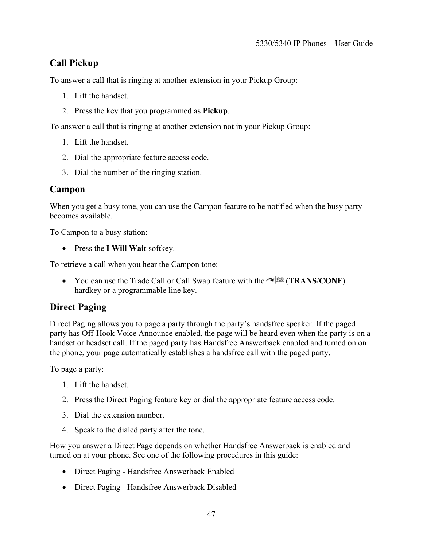### <span id="page-46-0"></span>**Call Pickup**

To answer a call that is ringing at another extension in your Pickup Group:

- 1. Lift the handset.
- 2. Press the key that you programmed as **Pickup**.

To answer a call that is ringing at another extension not in your Pickup Group:

- 1. Lift the handset.
- 2. Dial the appropriate feature access code.
- 3. Dial the number of the ringing station.

#### **Campon**

When you get a busy tone, you can use the Campon feature to be notified when the busy party becomes available.

To Campon to a busy station:

• Press the **I Will Wait** softkey.

To retrieve a call when you hear the Campon tone:

• You can use the Trade Call or Call Swap feature with the  $\sim$  (**TRANS**/**CONF**) hardkey or a programmable line key.

#### **Direct Paging**

Direct Paging allows you to page a party through the party's handsfree speaker. If the paged party has Off-Hook Voice Announce enabled, the page will be heard even when the party is on a handset or headset call. If the paged party has Handsfree Answerback enabled and turned on on the phone, your page automatically establishes a handsfree call with the paged party.

To page a party:

- 1. Lift the handset.
- 2. Press the Direct Paging feature key or dial the appropriate feature access code.
- 3. Dial the extension number.
- 4. Speak to the dialed party after the tone.

How you answer a Direct Page depends on whether Handsfree Answerback is enabled and turned on at your phone. See one of the following procedures in this guide:

- Direct Paging Handsfree Answerback Enabled
- Direct Paging Handsfree Answerback Disabled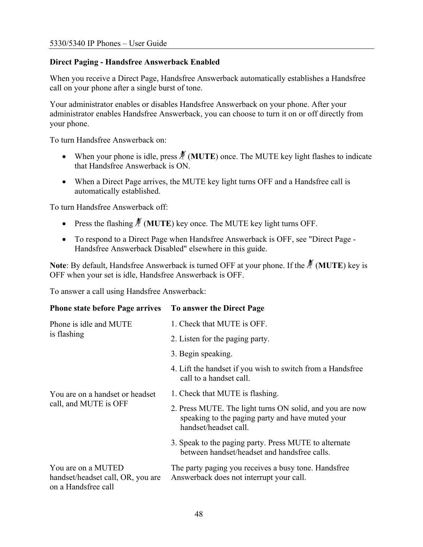#### **Direct Paging - Handsfree Answerback Enabled**

When you receive a Direct Page, Handsfree Answerback automatically establishes a Handsfree call on your phone after a single burst of tone.

Your administrator enables or disables Handsfree Answerback on your phone. After your administrator enables Handsfree Answerback, you can choose to turn it on or off directly from your phone.

To turn Handsfree Answerback on:

- When your phone is idle, press  $\mathcal{M}$  (**MUTE**) once. The MUTE key light flashes to indicate that Handsfree Answerback is ON.
- When a Direct Page arrives, the MUTE key light turns OFF and a Handsfree call is automatically established.

To turn Handsfree Answerback off:

- Press the flashing  $\frac{M}{A}$  (**MUTE**) key once. The MUTE key light turns OFF.
- To respond to a Direct Page when Handsfree Answerback is OFF, see "Direct Page Handsfree Answerback Disabled" elsewhere in this guide.

**Note:** By default, Handsfree Answerback is turned OFF at your phone. If the  $\cancel{\#}$  (**MUTE**) key is OFF when your set is idle, Handsfree Answerback is OFF.

To answer a call using Handsfree Answerback:

| <b>Phone state before Page arrives</b>                                         | To answer the Direct Page                                                                                                             |
|--------------------------------------------------------------------------------|---------------------------------------------------------------------------------------------------------------------------------------|
| Phone is idle and MUTE<br>is flashing                                          | 1. Check that MUTE is OFF.                                                                                                            |
|                                                                                | 2. Listen for the paging party.                                                                                                       |
|                                                                                | 3. Begin speaking.                                                                                                                    |
|                                                                                | 4. Lift the handset if you wish to switch from a Handsfree<br>call to a handset call.                                                 |
| You are on a handset or headset<br>call, and MUTE is OFF                       | 1. Check that MUTE is flashing.                                                                                                       |
|                                                                                | 2. Press MUTE. The light turns ON solid, and you are now<br>speaking to the paging party and have muted your<br>handset/headset call. |
|                                                                                | 3. Speak to the paging party. Press MUTE to alternate<br>between handset/headset and handsfree calls.                                 |
| You are on a MUTED<br>handset/headset call, OR, you are<br>on a Handsfree call | The party paging you receives a busy tone. Handsfree<br>Answerback does not interrupt your call.                                      |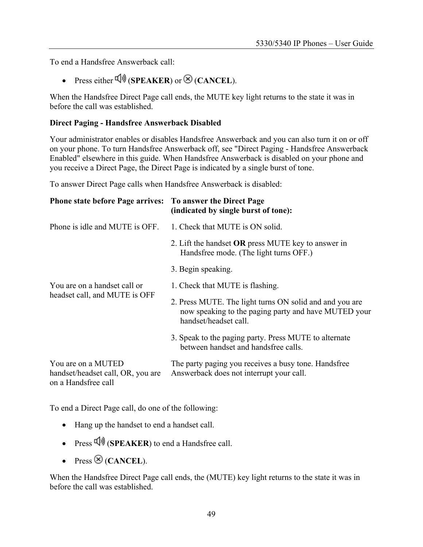To end a Handsfree Answerback call:

• Press either  $\overline{\psi}$  (**SPEAKER**) or  $\otimes$  (**CANCEL**).

When the Handsfree Direct Page call ends, the MUTE key light returns to the state it was in before the call was established.

#### **Direct Paging - Handsfree Answerback Disabled**

Your administrator enables or disables Handsfree Answerback and you can also turn it on or off on your phone. To turn Handsfree Answerback off, see "Direct Paging - Handsfree Answerback Enabled" elsewhere in this guide. When Handsfree Answerback is disabled on your phone and you receive a Direct Page, the Direct Page is indicated by a single burst of tone.

To answer Direct Page calls when Handsfree Answerback is disabled:

| <b>Phone state before Page arrives: To answer the Direct Page</b>              | (indicated by single burst of tone):                                                                                                     |
|--------------------------------------------------------------------------------|------------------------------------------------------------------------------------------------------------------------------------------|
| Phone is idle and MUTE is OFF.                                                 | 1. Check that MUTE is ON solid.                                                                                                          |
|                                                                                | 2. Lift the handset <b>OR</b> press MUTE key to answer in<br>Handsfree mode. (The light turns OFF.)                                      |
|                                                                                | 3. Begin speaking.                                                                                                                       |
| You are on a handset call or<br>headset call, and MUTE is OFF                  | 1. Check that MUTE is flashing.                                                                                                          |
|                                                                                | 2. Press MUTE. The light turns ON solid and and you are<br>now speaking to the paging party and have MUTED your<br>handset/headset call. |
|                                                                                | 3. Speak to the paging party. Press MUTE to alternate<br>between handset and handsfree calls.                                            |
| You are on a MUTED<br>handset/headset call, OR, you are<br>on a Handsfree call | The party paging you receives a busy tone. Handsfree<br>Answerback does not interrupt your call.                                         |

To end a Direct Page call, do one of the following:

- Hang up the handset to end a handset call.
- Press  $\overline{\psi}$  (**SPEAKER**) to end a Handsfree call.
- Press  $\otimes$  (**CANCEL**).

When the Handsfree Direct Page call ends, the (MUTE) key light returns to the state it was in before the call was established.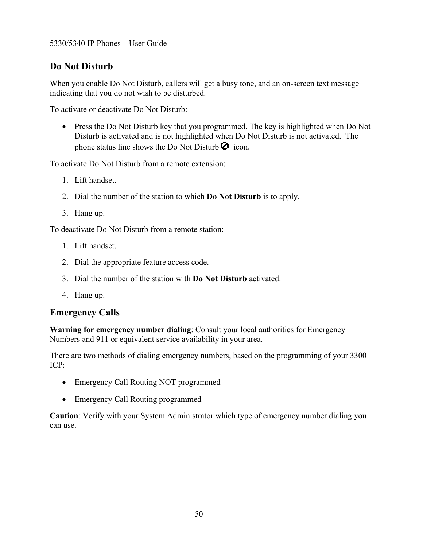### <span id="page-49-0"></span>**Do Not Disturb**

When you enable Do Not Disturb, callers will get a busy tone, and an on-screen text message indicating that you do not wish to be disturbed.

To activate or deactivate Do Not Disturb:

• Press the Do Not Disturb key that you programmed. The key is highlighted when Do Not Disturb is activated and is not highlighted when Do Not Disturb is not activated. The phone status line shows the Do Not Disturb  $\bullet$  icon.

To activate Do Not Disturb from a remote extension:

- 1. Lift handset.
- 2. Dial the number of the station to which **Do Not Disturb** is to apply.
- 3. Hang up.

To deactivate Do Not Disturb from a remote station:

- 1. Lift handset.
- 2. Dial the appropriate feature access code.
- 3. Dial the number of the station with **Do Not Disturb** activated.
- 4. Hang up.

#### **Emergency Calls**

**Warning for emergency number dialing**: Consult your local authorities for Emergency Numbers and 911 or equivalent service availability in your area.

There are two methods of dialing emergency numbers, based on the programming of your 3300 ICP:

- Emergency Call Routing NOT programmed
- Emergency Call Routing programmed

**Caution**: Verify with your System Administrator which type of emergency number dialing you can use.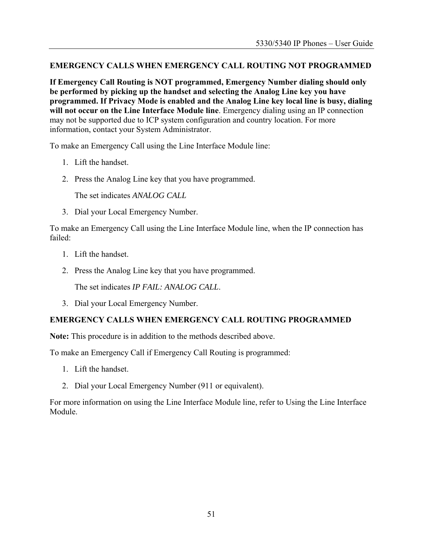#### **EMERGENCY CALLS WHEN EMERGENCY CALL ROUTING NOT PROGRAMMED**

**If Emergency Call Routing is NOT programmed, Emergency Number dialing should only be performed by picking up the handset and selecting the Analog Line key you have programmed. If Privacy Mode is enabled and the Analog Line key local line is busy, dialing will not occur on the Line Interface Module line**. Emergency dialing using an IP connection may not be supported due to ICP system configuration and country location. For more information, contact your System Administrator.

To make an Emergency Call using the Line Interface Module line:

- 1. Lift the handset.
- 2. Press the Analog Line key that you have programmed.

The set indicates *ANALOG CALL*

3. Dial your Local Emergency Number.

To make an Emergency Call using the Line Interface Module line, when the IP connection has failed:

- 1. Lift the handset.
- 2. Press the Analog Line key that you have programmed.

The set indicates *IP FAIL: ANALOG CALL*.

3. Dial your Local Emergency Number.

#### **EMERGENCY CALLS WHEN EMERGENCY CALL ROUTING PROGRAMMED**

**Note:** This procedure is in addition to the methods described above.

To make an Emergency Call if Emergency Call Routing is programmed:

- 1. Lift the handset.
- 2. Dial your Local Emergency Number (911 or equivalent).

For more information on using the Line Interface Module line, refer to Using the Line Interface Module.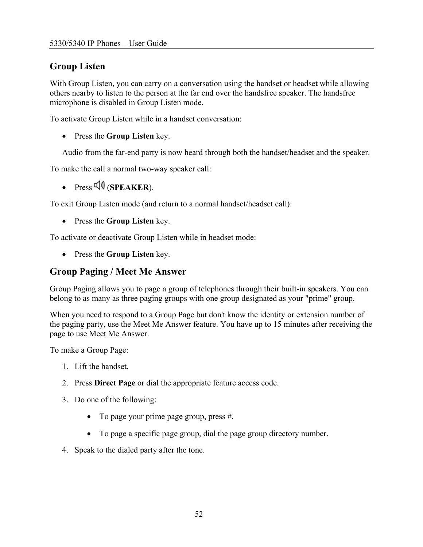# <span id="page-51-0"></span>**Group Listen**

With Group Listen, you can carry on a conversation using the handset or headset while allowing others nearby to listen to the person at the far end over the handsfree speaker. The handsfree microphone is disabled in Group Listen mode.

To activate Group Listen while in a handset conversation:

• Press the **Group Listen** key.

Audio from the far-end party is now heard through both the handset/headset and the speaker.

To make the call a normal two-way speaker call:

•  $\text{Press } \overline{\mathbb{Q}}$  (**SPEAKER**).

To exit Group Listen mode (and return to a normal handset/headset call):

• Press the **Group Listen** key.

To activate or deactivate Group Listen while in headset mode:

• Press the **Group Listen** key.

#### **Group Paging / Meet Me Answer**

Group Paging allows you to page a group of telephones through their built-in speakers. You can belong to as many as three paging groups with one group designated as your "prime" group.

When you need to respond to a Group Page but don't know the identity or extension number of the paging party, use the Meet Me Answer feature. You have up to 15 minutes after receiving the page to use Meet Me Answer.

To make a Group Page:

- 1. Lift the handset.
- 2. Press **Direct Page** or dial the appropriate feature access code.
- 3. Do one of the following:
	- To page your prime page group, press #.
	- To page a specific page group, dial the page group directory number.
- 4. Speak to the dialed party after the tone.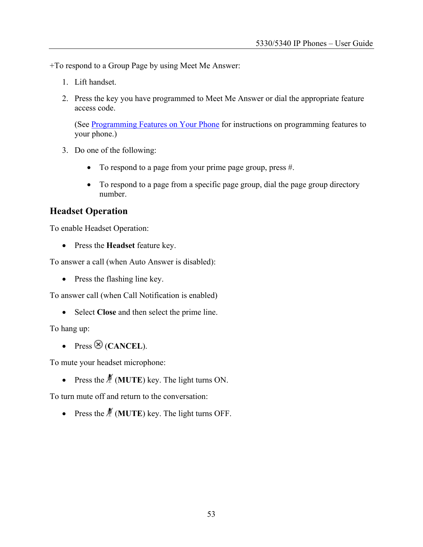<span id="page-52-0"></span>+To respond to a Group Page by using Meet Me Answer:

- 1. Lift handset.
- 2. Press the key you have programmed to Meet Me Answer or dial the appropriate feature access code.

(See [Programming Features on Your Phone](#page-26-0) for instructions on programming features to your phone.)

- 3. Do one of the following:
	- To respond to a page from your prime page group, press #.
	- To respond to a page from a specific page group, dial the page group directory number.

#### **Headset Operation**

To enable Headset Operation:

• Press the **Headset** feature key.

To answer a call (when Auto Answer is disabled):

• Press the flashing line key.

To answer call (when Call Notification is enabled)

• Select **Close** and then select the prime line.

To hang up:

• Press  $\otimes$  (**CANCEL**).

To mute your headset microphone:

• Press the  $\frac{M}{I}$  (**MUTE**) key. The light turns ON.

To turn mute off and return to the conversation:

• Press the  $\frac{M}{I}$  (**MUTE**) key. The light turns OFF.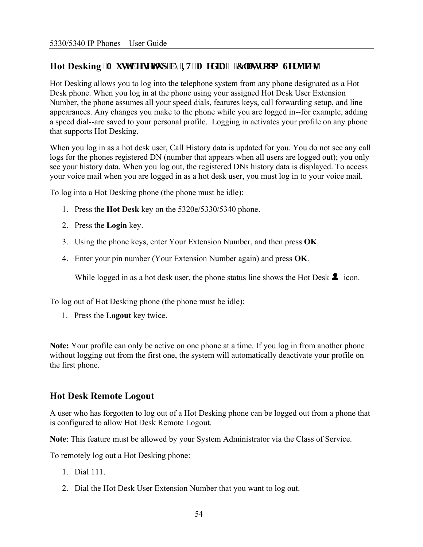### <span id="page-53-0"></span>Hot Desking <sup>\*</sup>O ww'dg'tgv'wr 'd{ 'W.'O gf k'( 'Encut qqo 'Ugt xlegu+

Hot Desking allows you to log into the telephone system from any phone designated as a Hot Desk phone. When you log in at the phone using your assigned Hot Desk User Extension Number, the phone assumes all your speed dials, features keys, call forwarding setup, and line appearances. Any changes you make to the phone while you are logged in--for example, adding a speed dial--are saved to your personal profile. Logging in activates your profile on any phone that supports Hot Desking.

When you log in as a hot desk user, Call History data is updated for you. You do not see any call logs for the phones registered DN (number that appears when all users are logged out); you only see your history data. When you log out, the registered DNs history data is displayed. To access your voice mail when you are logged in as a hot desk user, you must log in to your voice mail.

To log into a Hot Desking phone (the phone must be idle):

- 1. Press the **Hot Desk** key on the 5320e/5330/5340 phone.
- 2. Press the **Login** key.
- 3. Using the phone keys, enter Your Extension Number, and then press **OK**.
- 4. Enter your pin number (Your Extension Number again) and press **OK**.

While logged in as a hot desk user, the phone status line shows the Hot Desk  $\blacktriangle$  icon.

To log out of Hot Desking phone (the phone must be idle):

1. Press the **Logout** key twice.

**Note:** Your profile can only be active on one phone at a time. If you log in from another phone without logging out from the first one, the system will automatically deactivate your profile on the first phone.

### **Hot Desk Remote Logout**

A user who has forgotten to log out of a Hot Desking phone can be logged out from a phone that is configured to allow Hot Desk Remote Logout.

**Note**: This feature must be allowed by your System Administrator via the Class of Service.

To remotely log out a Hot Desking phone:

- 1. Dial 111.
- 2. Dial the Hot Desk User Extension Number that you want to log out.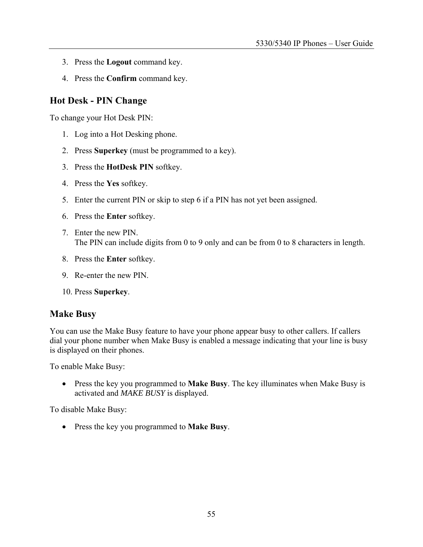- <span id="page-54-0"></span>3. Press the **Logout** command key.
- 4. Press the **Confirm** command key.

#### **Hot Desk - PIN Change**

To change your Hot Desk PIN:

- 1. Log into a Hot Desking phone.
- 2. Press **Superkey** (must be programmed to a key).
- 3. Press the **HotDesk PIN** softkey.
- 4. Press the **Yes** softkey.
- 5. Enter the current PIN or skip to step 6 if a PIN has not yet been assigned.
- 6. Press the **Enter** softkey.
- 7. Enter the new PIN. The PIN can include digits from 0 to 9 only and can be from 0 to 8 characters in length.
- 8. Press the **Enter** softkey.
- 9. Re-enter the new PIN.
- 10. Press **Superkey**.

#### **Make Busy**

You can use the Make Busy feature to have your phone appear busy to other callers. If callers dial your phone number when Make Busy is enabled a message indicating that your line is busy is displayed on their phones.

To enable Make Busy:

• Press the key you programmed to **Make Busy**. The key illuminates when Make Busy is activated and *MAKE BUSY* is displayed.

To disable Make Busy:

• Press the key you programmed to **Make Busy**.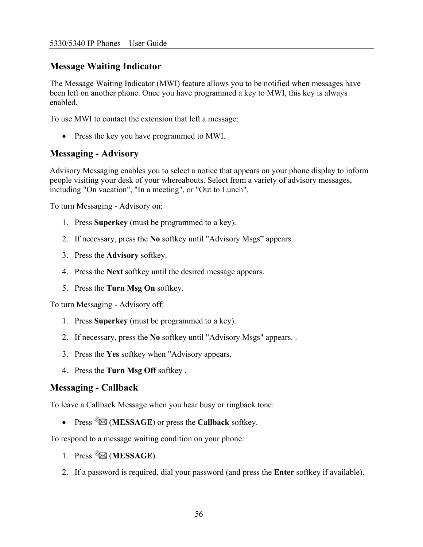#### <span id="page-55-0"></span>**Message Waiting Indicator**

The Message Waiting Indicator (MWI) feature allows you to be notified when messages have been left on another phone. Once you have programmed a key to MWI, this key is always enabled.

To use MWI to contact the extension that left a message:

• Press the key you have programmed to MWI.

#### **Messaging - Advisory**

Advisory Messaging enables you to select a notice that appears on your phone display to inform people visiting your desk of your whereabouts. Select from a variety of advisory messages, including "On vacation", "In a meeting", or "Out to Lunch".

To turn Messaging - Advisory on:

- 1. Press **Superkey** (must be programmed to a key).
- 2. If necessary, press the **No** softkey until "Advisory Msgs" appears.
- 3. Press the **Advisory** softkey.
- 4. Press the **Next** softkey until the desired message appears.
- 5. Press the **Turn Msg On** softkey.

To turn Messaging - Advisory off:

- 1. Press **Superkey** (must be programmed to a key).
- 2. If necessary, press the **No** softkey until "Advisory Msgs" appears. .
- 3. Press the **Yes** softkey when "Advisory appears.
- 4. Press the **Turn Msg Off** softkey .

#### **Messaging - Callback**

To leave a Callback Message when you hear busy or ringback tone:

• Press  $\mathscr{B}$  (**MESSAGE**) or press the **Callback** softkey.

To respond to a message waiting condition on your phone:

- 1. Press **i** (MESSAGE).
- 2. If a password is required, dial your password (and press the **Enter** softkey if available).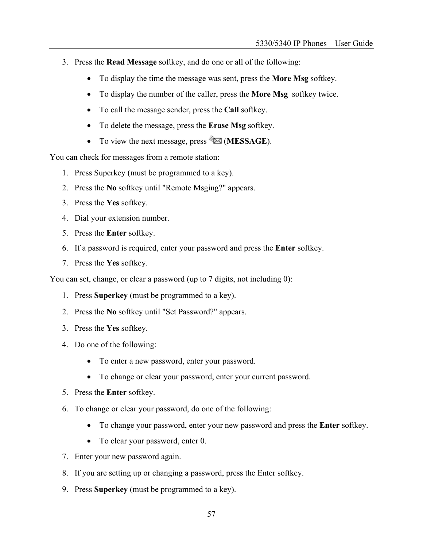- 3. Press the **Read Message** softkey, and do one or all of the following:
	- To display the time the message was sent, press the **More Msg** softkey.
	- To display the number of the caller, press the **More Msg** softkey twice.
	- To call the message sender, press the **Call** softkey.
	- To delete the message, press the **Erase Msg** softkey.
	- To view the next message, press **<del>** $\mathbb{Z}$ **</del> (MESSAGE).**

You can check for messages from a remote station:

- 1. Press Superkey (must be programmed to a key).
- 2. Press the **No** softkey until "Remote Msging?" appears.
- 3. Press the **Yes** softkey.
- 4. Dial your extension number.
- 5. Press the **Enter** softkey.
- 6. If a password is required, enter your password and press the **Enter** softkey.
- 7. Press the **Yes** softkey.

You can set, change, or clear a password (up to 7 digits, not including 0):

- 1. Press **Superkey** (must be programmed to a key).
- 2. Press the **No** softkey until "Set Password?" appears.
- 3. Press the **Yes** softkey.
- 4. Do one of the following:
	- To enter a new password, enter your password.
	- To change or clear your password, enter your current password.
- 5. Press the **Enter** softkey.
- 6. To change or clear your password, do one of the following:
	- To change your password, enter your new password and press the **Enter** softkey.
	- To clear your password, enter 0.
- 7. Enter your new password again.
- 8. If you are setting up or changing a password, press the Enter softkey.
- 9. Press **Superkey** (must be programmed to a key).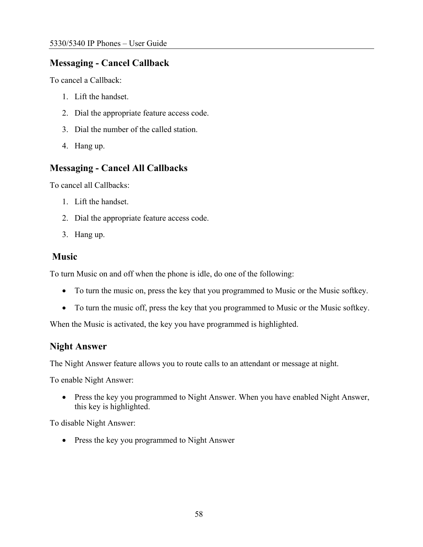#### <span id="page-57-0"></span>**Messaging - Cancel Callback**

To cancel a Callback:

- 1. Lift the handset.
- 2. Dial the appropriate feature access code.
- 3. Dial the number of the called station.
- 4. Hang up.

### **Messaging - Cancel All Callbacks**

To cancel all Callbacks:

- 1. Lift the handset.
- 2. Dial the appropriate feature access code.
- 3. Hang up.

#### **Music**

To turn Music on and off when the phone is idle, do one of the following:

- To turn the music on, press the key that you programmed to Music or the Music softkey.
- To turn the music off, press the key that you programmed to Music or the Music softkey.

When the Music is activated, the key you have programmed is highlighted.

#### **Night Answer**

The Night Answer feature allows you to route calls to an attendant or message at night.

To enable Night Answer:

• Press the key you programmed to Night Answer. When you have enabled Night Answer, this key is highlighted.

To disable Night Answer:

• Press the key you programmed to Night Answer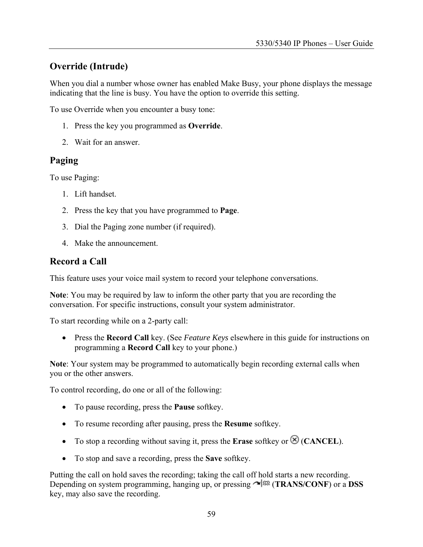### <span id="page-58-0"></span>**Override (Intrude)**

When you dial a number whose owner has enabled Make Busy, your phone displays the message indicating that the line is busy. You have the option to override this setting.

To use Override when you encounter a busy tone:

- 1. Press the key you programmed as **Override**.
- 2. Wait for an answer.

#### **Paging**

To use Paging:

- 1. Lift handset.
- 2. Press the key that you have programmed to **Page**.
- 3. Dial the Paging zone number (if required).
- 4. Make the announcement.

#### **Record a Call**

This feature uses your voice mail system to record your telephone conversations.

**Note**: You may be required by law to inform the other party that you are recording the conversation. For specific instructions, consult your system administrator.

To start recording while on a 2-party call:

• Press the **Record Call** key. (See *Feature Keys* elsewhere in this guide for instructions on programming a **Record Call** key to your phone.)

**Note**: Your system may be programmed to automatically begin recording external calls when you or the other answers.

To control recording, do one or all of the following:

- To pause recording, press the **Pause** softkey.
- To resume recording after pausing, press the **Resume** softkey.
- To stop a recording without saving it, press the **Erase** softkey or  $\otimes$  (**CANCEL**).
- To stop and save a recording, press the **Save** softkey.

Putting the call on hold saves the recording; taking the call off hold starts a new recording. Depending on system programming, hanging up, or pressing (**TRANS/CONF**) or a **DSS** key, may also save the recording.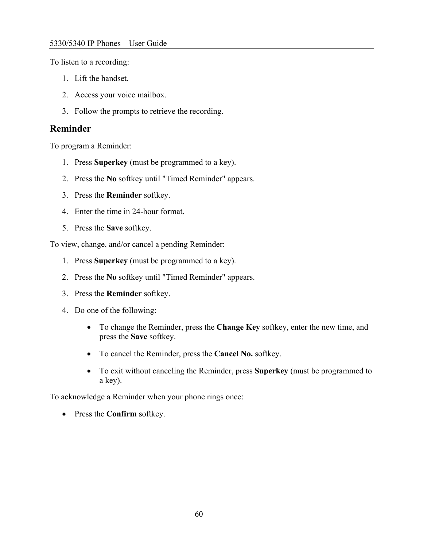<span id="page-59-0"></span>To listen to a recording:

- 1. Lift the handset.
- 2. Access your voice mailbox.
- 3. Follow the prompts to retrieve the recording.

#### **Reminder**

To program a Reminder:

- 1. Press **Superkey** (must be programmed to a key).
- 2. Press the **No** softkey until "Timed Reminder" appears.
- 3. Press the **Reminder** softkey.
- 4. Enter the time in 24-hour format.
- 5. Press the **Save** softkey.

To view, change, and/or cancel a pending Reminder:

- 1. Press **Superkey** (must be programmed to a key).
- 2. Press the **No** softkey until "Timed Reminder" appears.
- 3. Press the **Reminder** softkey.
- 4. Do one of the following:
	- To change the Reminder, press the **Change Key** softkey, enter the new time, and press the **Save** softkey.
	- To cancel the Reminder, press the **Cancel No.** softkey.
	- To exit without canceling the Reminder, press **Superkey** (must be programmed to a key).

To acknowledge a Reminder when your phone rings once:

• Press the **Confirm** softkey.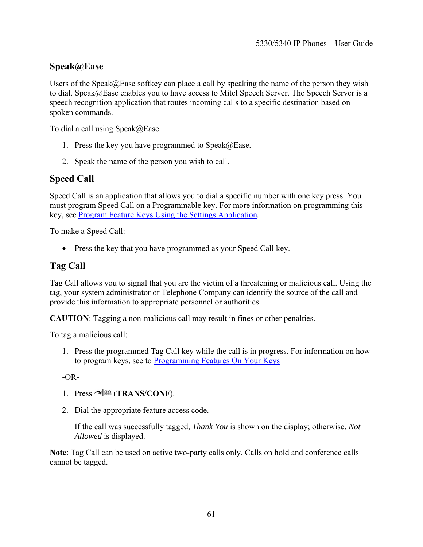#### <span id="page-60-0"></span>**Speak@Ease**

Users of the Speak@Ease softkey can place a call by speaking the name of the person they wish to dial. Speak@Ease enables you to have access to Mitel Speech Server. The Speech Server is a speech recognition application that routes incoming calls to a specific destination based on spoken commands.

To dial a call using Speak@Ease:

- 1. Press the key you have programmed to  $\text{Speak}(a)$  Ease.
- 2. Speak the name of the person you wish to call.

#### **Speed Call**

Speed Call is an application that allows you to dial a specific number with one key press. You must program Speed Call on a Programmable key. For more information on programming this key, see [Program Feature Keys Using the Settings Application](#page-29-0)*.*

To make a Speed Call:

• Press the key that you have programmed as your Speed Call key.

#### **Tag Call**

Tag Call allows you to signal that you are the victim of a threatening or malicious call. Using the tag, your system administrator or Telephone Company can identify the source of the call and provide this information to appropriate personnel or authorities.

**CAUTION**: Tagging a non-malicious call may result in fines or other penalties.

To tag a malicious call:

1. Press the programmed Tag Call key while the call is in progress. For information on how to program keys, see to [Programming Features On Your Keys](#page-26-0)

 $-OR-$ 

- 1. Press  $\sim$   $\sqrt{5R}$  (**TRANS/CONF**).
- 2. Dial the appropriate feature access code.

If the call was successfully tagged, *Thank You* is shown on the display; otherwise, *Not Allowed* is displayed.

**Note**: Tag Call can be used on active two-party calls only. Calls on hold and conference calls cannot be tagged.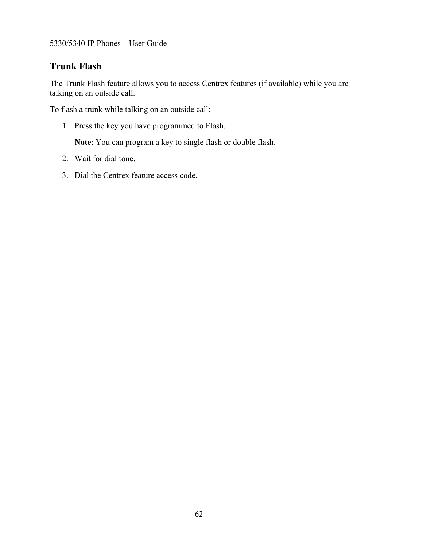# <span id="page-61-0"></span>**Trunk Flash**

The Trunk Flash feature allows you to access Centrex features (if available) while you are talking on an outside call.

To flash a trunk while talking on an outside call:

1. Press the key you have programmed to Flash.

**Note**: You can program a key to single flash or double flash.

- 2. Wait for dial tone.
- 3. Dial the Centrex feature access code.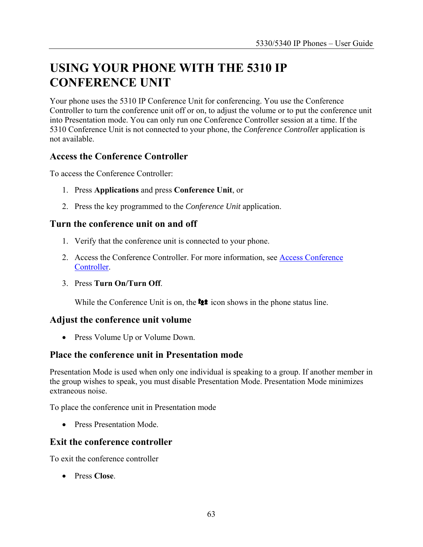# <span id="page-62-0"></span>**USING YOUR PHONE WITH THE 5310 IP CONFERENCE UNIT**

Your phone uses the 5310 IP Conference Unit for conferencing. You use the Conference Controller to turn the conference unit off or on, to adjust the volume or to put the conference unit into Presentation mode. You can only run one Conference Controller session at a time. If the 5310 Conference Unit is not connected to your phone, the *Conference Controlle*r application is not available.

### **Access the Conference Controller**

To access the Conference Controller:

- 1. Press **Applications** and press **Conference Unit**, or
- 2. Press the key programmed to the *Conference Unit* application.

#### **Turn the conference unit on and off**

- 1. Verify that the conference unit is connected to your phone.
- 2. Access the Conference Controller. For more information, see [Access Conference](#page-62-0)  [Controller](#page-62-0).
- 3. Press **Turn On/Turn Off**.

While the Conference Unit is on, the  $\bullet\bullet\bullet$  icon shows in the phone status line.

#### **Adjust the conference unit volume**

• Press Volume Up or Volume Down.

### **Place the conference unit in Presentation mode**

Presentation Mode is used when only one individual is speaking to a group. If another member in the group wishes to speak, you must disable Presentation Mode. Presentation Mode minimizes extraneous noise.

To place the conference unit in Presentation mode

• Press Presentation Mode.

### **Exit the conference controller**

To exit the conference controller

• Press **Close**.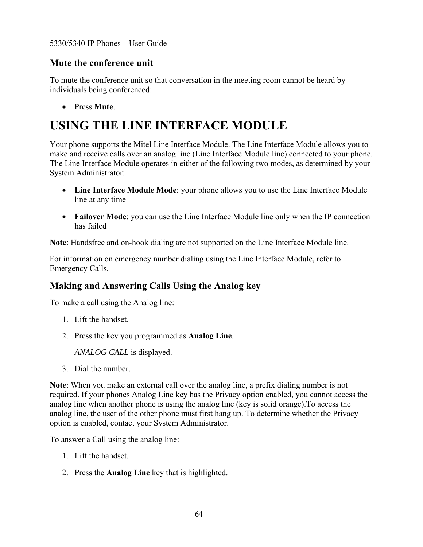#### <span id="page-63-0"></span>**Mute the conference unit**

To mute the conference unit so that conversation in the meeting room cannot be heard by individuals being conferenced:

• Press **Mute**.

# **USING THE LINE INTERFACE MODULE**

Your phone supports the Mitel Line Interface Module. The Line Interface Module allows you to make and receive calls over an analog line (Line Interface Module line) connected to your phone. The Line Interface Module operates in either of the following two modes, as determined by your System Administrator:

- **Line Interface Module Mode**: your phone allows you to use the Line Interface Module line at any time
- **Failover Mode**: you can use the Line Interface Module line only when the IP connection has failed

**Note**: Handsfree and on-hook dialing are not supported on the Line Interface Module line.

For information on emergency number dialing using the Line Interface Module, refer to Emergency Calls.

### **Making and Answering Calls Using the Analog key**

To make a call using the Analog line:

- 1. Lift the handset.
- 2. Press the key you programmed as **Analog Line**.

*ANALOG CALL* is displayed.

3. Dial the number.

**Note**: When you make an external call over the analog line, a prefix dialing number is not required. If your phones Analog Line key has the Privacy option enabled, you cannot access the analog line when another phone is using the analog line (key is solid orange).To access the analog line, the user of the other phone must first hang up. To determine whether the Privacy option is enabled, contact your System Administrator.

To answer a Call using the analog line:

- 1. Lift the handset.
- 2. Press the **Analog Line** key that is highlighted.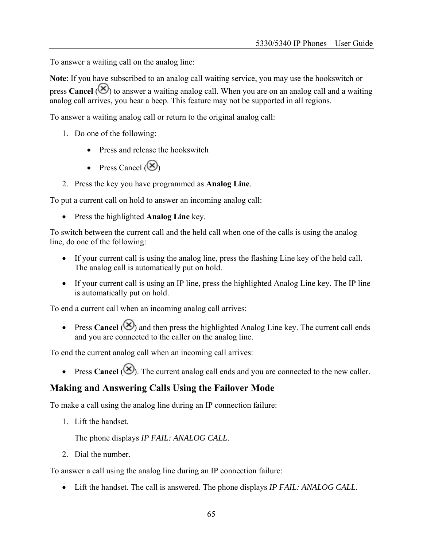<span id="page-64-0"></span>To answer a waiting call on the analog line:

**Note**: If you have subscribed to an analog call waiting service, you may use the hookswitch or press **Cancel** ( $\Diamond$ ) to answer a waiting analog call. When you are on an analog call and a waiting analog call arrives, you hear a beep. This feature may not be supported in all regions.

To answer a waiting analog call or return to the original analog call:

- 1. Do one of the following:
	- Press and release the hookswitch
	- Press Cancel  $(\otimes)$
- 2. Press the key you have programmed as **Analog Line**.

To put a current call on hold to answer an incoming analog call:

• Press the highlighted **Analog Line** key.

To switch between the current call and the held call when one of the calls is using the analog line, do one of the following:

- If your current call is using the analog line, press the flashing Line key of the held call. The analog call is automatically put on hold.
- If your current call is using an IP line, press the highlighted Analog Line key. The IP line is automatically put on hold.

To end a current call when an incoming analog call arrives:

• Press **Cancel**  $(\mathcal{S})$  and then press the highlighted Analog Line key. The current call ends and you are connected to the caller on the analog line.

To end the current analog call when an incoming call arrives:

• Press **Cancel** ( $\otimes$ ). The current analog call ends and you are connected to the new caller.

#### **Making and Answering Calls Using the Failover Mode**

To make a call using the analog line during an IP connection failure:

1. Lift the handset.

The phone displays *IP FAIL: ANALOG CALL*.

2. Dial the number.

To answer a call using the analog line during an IP connection failure:

• Lift the handset. The call is answered. The phone displays *IP FAIL: ANALOG CALL*.